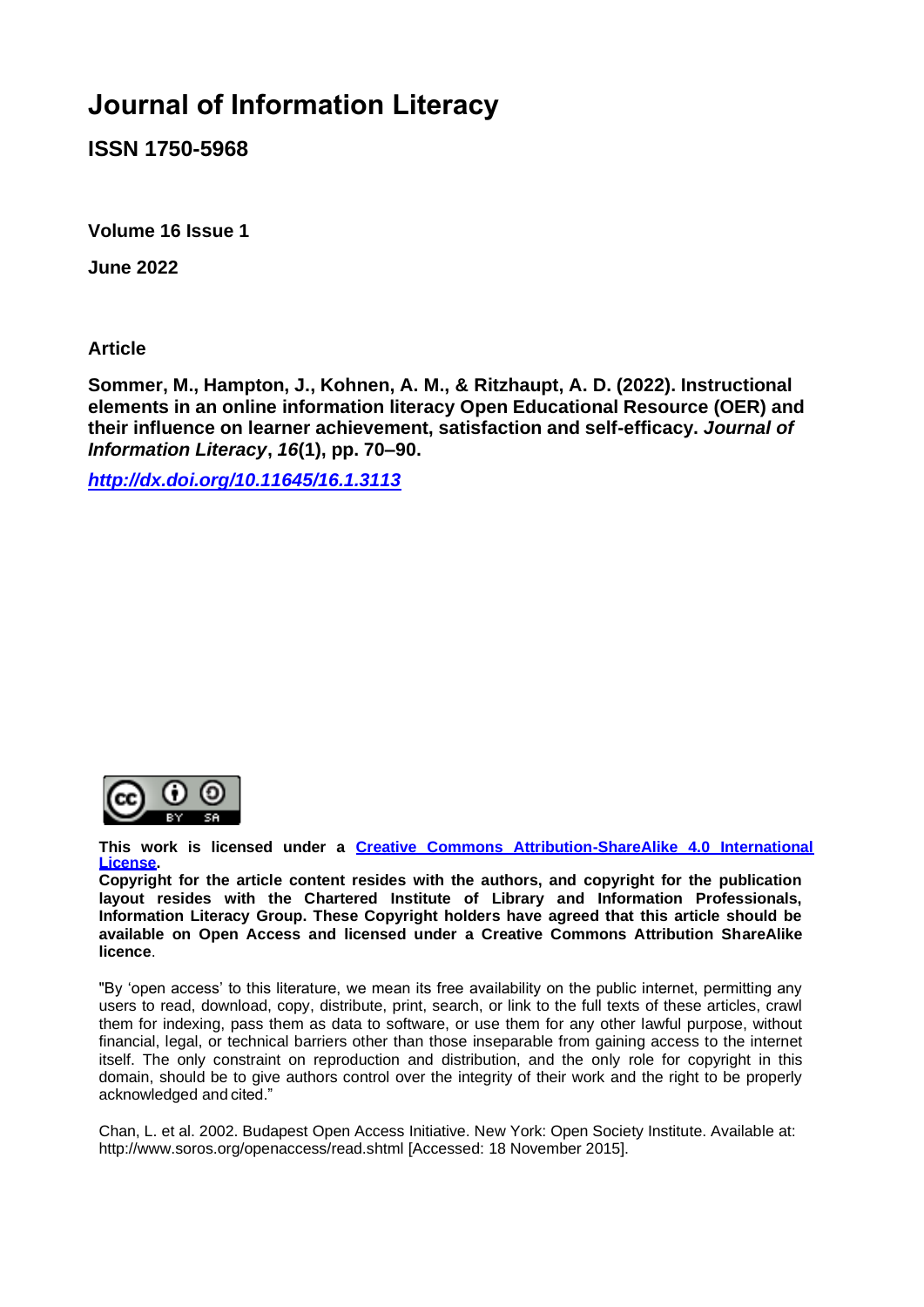# **Journal of Information Literacy**

**ISSN 1750-5968**

**Volume 16 Issue 1**

**June 2022**

**Article**

**Sommer, M., Hampton, J., Kohnen, A. M., & Ritzhaupt, A. D. (2022). Instructional elements in an online information literacy Open Educational Resource (OER) and their influence on learner achievement, satisfaction and self-efficacy.** *Journal of Information Literacy***,** *16***(1), pp. 70–90.**

*<http://dx.doi.org/10.11645/16.1.3113>*



**This work is licensed under a [Creative Commons Attribution-ShareAlike 4.0 International](http://creativecommons.org/licenses/by-sa/4.0/)  [License.](http://creativecommons.org/licenses/by-sa/4.0/)**

**Copyright for the article content resides with the authors, and copyright for the publication layout resides with the Chartered Institute of Library and Information Professionals, Information Literacy Group. These Copyright holders have agreed that this article should be available on Open Access and licensed under a Creative Commons Attribution ShareAlike licence**.

"By 'open access' to this literature, we mean its free availability on the public internet, permitting any users to read, download, copy, distribute, print, search, or link to the full texts of these articles, crawl them for indexing, pass them as data to software, or use them for any other lawful purpose, without financial, legal, or technical barriers other than those inseparable from gaining access to the internet itself. The only constraint on reproduction and distribution, and the only role for copyright in this domain, should be to give authors control over the integrity of their work and the right to be properly acknowledged and cited."

Chan, L. et al. 2002. Budapest Open Access Initiative. New York: Open Society Institute. Available at: [http://www.soros.org/openaccess/read.shtml \[](http://www.soros.org/openaccess/read.shtml)Accessed: 18 November 2015].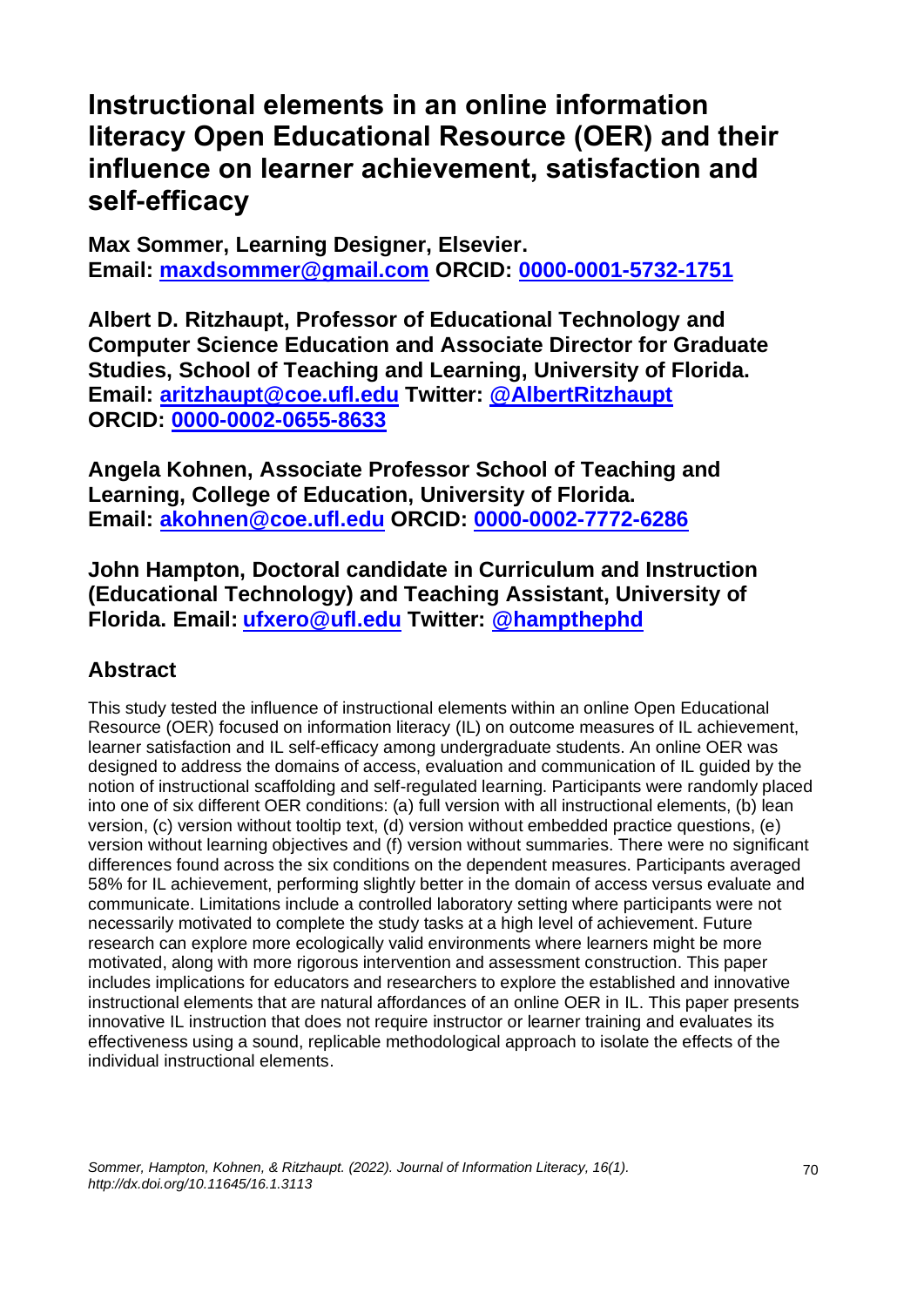# **Instructional elements in an online information literacy Open Educational Resource (OER) and their influence on learner achievement, satisfaction and self-efficacy**

**Max Sommer, Learning Designer, Elsevier. Email: [maxdsommer@gmail.com](mailto:maxdsommer@gmail.com) ORCID: [0000-0001-5732-1751](https://orcid.org/0000-0001-5732-1751)**

**Albert D. Ritzhaupt, Professor of Educational Technology and Computer Science Education and Associate Director for Graduate Studies, School of Teaching and Learning, University of Florida. Email: [aritzhaupt@coe.ufl.edu](mailto:aritzhaupt@coe.ufl.edu) Twitter: [@AlbertRitzhaupt](https://twitter.com/AlbertRitzhaupt) ORCID: [0000-0002-0655-8633](https://orcid.org/0000-0002-0655-8633)**

**Angela Kohnen, Associate Professor School of Teaching and Learning, College of Education, University of Florida. Email: [akohnen@coe.ufl.edu](mailto:akohnen@coe.ufl.edu) ORCID: [0000-0002-7772-6286](https://orcid.org/0000-0002-7772-6286)**

**John Hampton, Doctoral candidate in Curriculum and Instruction (Educational Technology) and Teaching Assistant, University of Florida. Email: [ufxero@ufl.edu](mailto:ufxero@ufl.edu) Twitter: [@hampthephd](https://twitter.com/hampthephd)**

# **Abstract**

This study tested the influence of instructional elements within an online Open Educational Resource (OER) focused on information literacy (IL) on outcome measures of IL achievement, learner satisfaction and IL self-efficacy among undergraduate students. An online OER was designed to address the domains of access, evaluation and communication of IL guided by the notion of instructional scaffolding and self-regulated learning. Participants were randomly placed into one of six different OER conditions: (a) full version with all instructional elements, (b) lean version, (c) version without tooltip text, (d) version without embedded practice questions, (e) version without learning objectives and (f) version without summaries. There were no significant differences found across the six conditions on the dependent measures. Participants averaged 58% for IL achievement, performing slightly better in the domain of access versus evaluate and communicate. Limitations include a controlled laboratory setting where participants were not necessarily motivated to complete the study tasks at a high level of achievement. Future research can explore more ecologically valid environments where learners might be more motivated, along with more rigorous intervention and assessment construction. This paper includes implications for educators and researchers to explore the established and innovative instructional elements that are natural affordances of an online OER in IL. This paper presents innovative IL instruction that does not require instructor or learner training and evaluates its effectiveness using a sound, replicable methodological approach to isolate the effects of the individual instructional elements.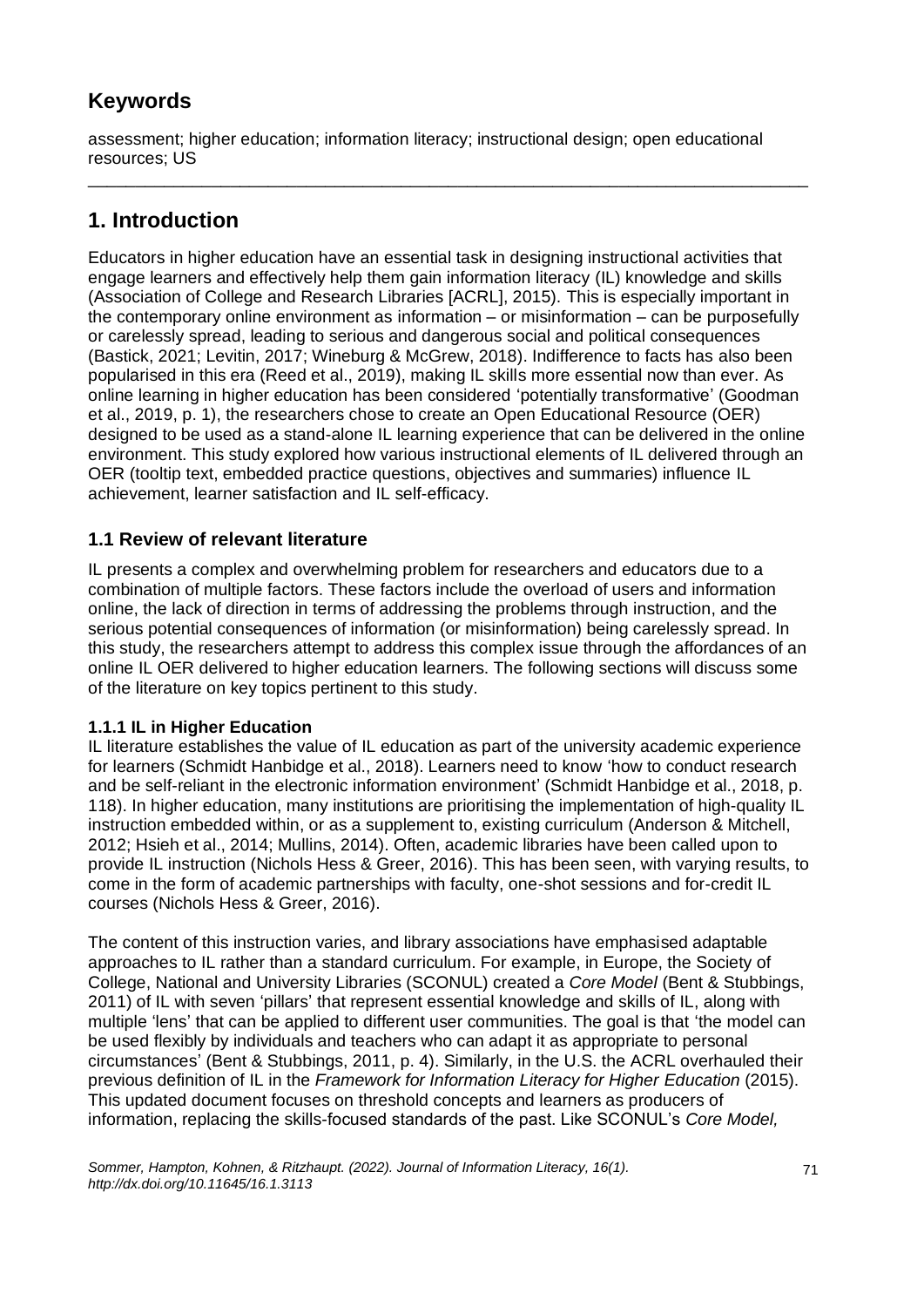# **Keywords**

assessment; higher education; information literacy; instructional design; open educational resources; US

\_\_\_\_\_\_\_\_\_\_\_\_\_\_\_\_\_\_\_\_\_\_\_\_\_\_\_\_\_\_\_\_\_\_\_\_\_\_\_\_\_\_\_\_\_\_\_\_\_\_\_\_\_\_\_\_\_\_\_\_\_\_\_\_\_\_\_\_\_\_\_\_\_\_\_\_

# **1. Introduction**

Educators in higher education have an essential task in designing instructional activities that engage learners and effectively help them gain information literacy (IL) knowledge and skills (Association of College and Research Libraries [ACRL], 2015). This is especially important in the contemporary online environment as information – or misinformation – can be purposefully or carelessly spread, leading to serious and dangerous social and political consequences (Bastick, 2021; Levitin, 2017; Wineburg & McGrew, 2018). Indifference to facts has also been popularised in this era (Reed et al., 2019), making IL skills more essential now than ever. As online learning in higher education has been considered 'potentially transformative' (Goodman et al., 2019, p. 1), the researchers chose to create an Open Educational Resource (OER) designed to be used as a stand-alone IL learning experience that can be delivered in the online environment. This study explored how various instructional elements of IL delivered through an OER (tooltip text, embedded practice questions, objectives and summaries) influence IL achievement, learner satisfaction and IL self-efficacy.

# **1.1 Review of relevant literature**

IL presents a complex and overwhelming problem for researchers and educators due to a combination of multiple factors. These factors include the overload of users and information online, the lack of direction in terms of addressing the problems through instruction, and the serious potential consequences of information (or misinformation) being carelessly spread. In this study, the researchers attempt to address this complex issue through the affordances of an online IL OER delivered to higher education learners. The following sections will discuss some of the literature on key topics pertinent to this study.

# **1.1.1 IL in Higher Education**

IL literature establishes the value of IL education as part of the university academic experience for learners (Schmidt Hanbidge et al., 2018). Learners need to know 'how to conduct research and be self-reliant in the electronic information environment' (Schmidt Hanbidge et al., 2018, p. 118). In higher education, many institutions are prioritising the implementation of high-quality IL instruction embedded within, or as a supplement to, existing curriculum (Anderson & Mitchell, 2012; Hsieh et al., 2014; Mullins, 2014). Often, academic libraries have been called upon to provide IL instruction (Nichols Hess & Greer, 2016). This has been seen, with varying results, to come in the form of academic partnerships with faculty, one-shot sessions and for-credit IL courses (Nichols Hess & Greer, 2016).

The content of this instruction varies, and library associations have emphasised adaptable approaches to IL rather than a standard curriculum. For example, in Europe, the Society of College, National and University Libraries (SCONUL) created a *Core Model* (Bent & Stubbings, 2011) of IL with seven 'pillars' that represent essential knowledge and skills of IL, along with multiple 'lens' that can be applied to different user communities. The goal is that 'the model can be used flexibly by individuals and teachers who can adapt it as appropriate to personal circumstances' (Bent & Stubbings, 2011, p. 4). Similarly, in the U.S. the ACRL overhauled their previous definition of IL in the *Framework for Information Literacy for Higher Education* (2015). This updated document focuses on threshold concepts and learners as producers of information, replacing the skills-focused standards of the past. Like SCONUL's *Core Model,*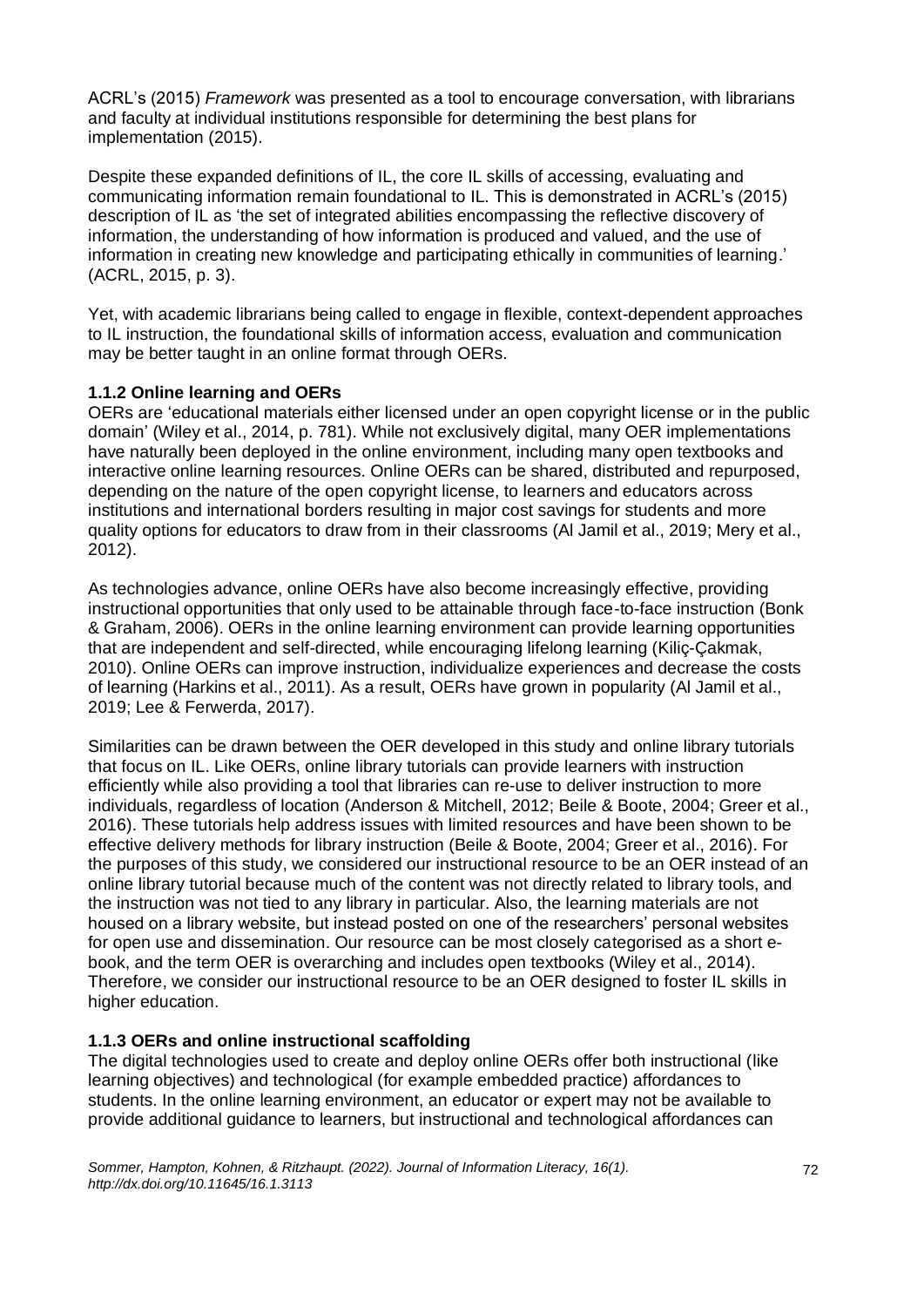ACRL's (2015) *Framework* was presented as a tool to encourage conversation, with librarians and faculty at individual institutions responsible for determining the best plans for implementation (2015).

Despite these expanded definitions of IL, the core IL skills of accessing, evaluating and communicating information remain foundational to IL. This is demonstrated in ACRL's (2015) description of IL as 'the set of integrated abilities encompassing the reflective discovery of information, the understanding of how information is produced and valued, and the use of information in creating new knowledge and participating ethically in communities of learning.' (ACRL, 2015, p. 3).

Yet, with academic librarians being called to engage in flexible, context-dependent approaches to IL instruction, the foundational skills of information access, evaluation and communication may be better taught in an online format through OERs.

### **1.1.2 Online learning and OERs**

OERs are 'educational materials either licensed under an open copyright license or in the public domain' (Wiley et al., 2014, p. 781). While not exclusively digital, many OER implementations have naturally been deployed in the online environment, including many open textbooks and interactive online learning resources. Online OERs can be shared, distributed and repurposed, depending on the nature of the open copyright license, to learners and educators across institutions and international borders resulting in major cost savings for students and more quality options for educators to draw from in their classrooms (Al Jamil et al., 2019; Mery et al., 2012).

As technologies advance, online OERs have also become increasingly effective, providing instructional opportunities that only used to be attainable through face-to-face instruction (Bonk & Graham, 2006). OERs in the online learning environment can provide learning opportunities that are independent and self-directed, while encouraging lifelong learning (Kiliç-Çakmak, 2010). Online OERs can improve instruction, individualize experiences and decrease the costs of learning (Harkins et al., 2011). As a result, OERs have grown in popularity (Al Jamil et al., 2019; Lee & Ferwerda, 2017).

Similarities can be drawn between the OER developed in this study and online library tutorials that focus on IL. Like OERs, online library tutorials can provide learners with instruction efficiently while also providing a tool that libraries can re-use to deliver instruction to more individuals, regardless of location (Anderson & Mitchell, 2012; Beile & Boote, 2004; Greer et al., 2016). These tutorials help address issues with limited resources and have been shown to be effective delivery methods for library instruction (Beile & Boote, 2004; Greer et al., 2016). For the purposes of this study, we considered our instructional resource to be an OER instead of an online library tutorial because much of the content was not directly related to library tools, and the instruction was not tied to any library in particular. Also, the learning materials are not housed on a library website, but instead posted on one of the researchers' personal websites for open use and dissemination. Our resource can be most closely categorised as a short ebook, and the term OER is overarching and includes open textbooks (Wiley et al., 2014). Therefore, we consider our instructional resource to be an OER designed to foster IL skills in higher education.

### **1.1.3 OERs and online instructional scaffolding**

The digital technologies used to create and deploy online OERs offer both instructional (like learning objectives) and technological (for example embedded practice) affordances to students. In the online learning environment, an educator or expert may not be available to provide additional guidance to learners, but instructional and technological affordances can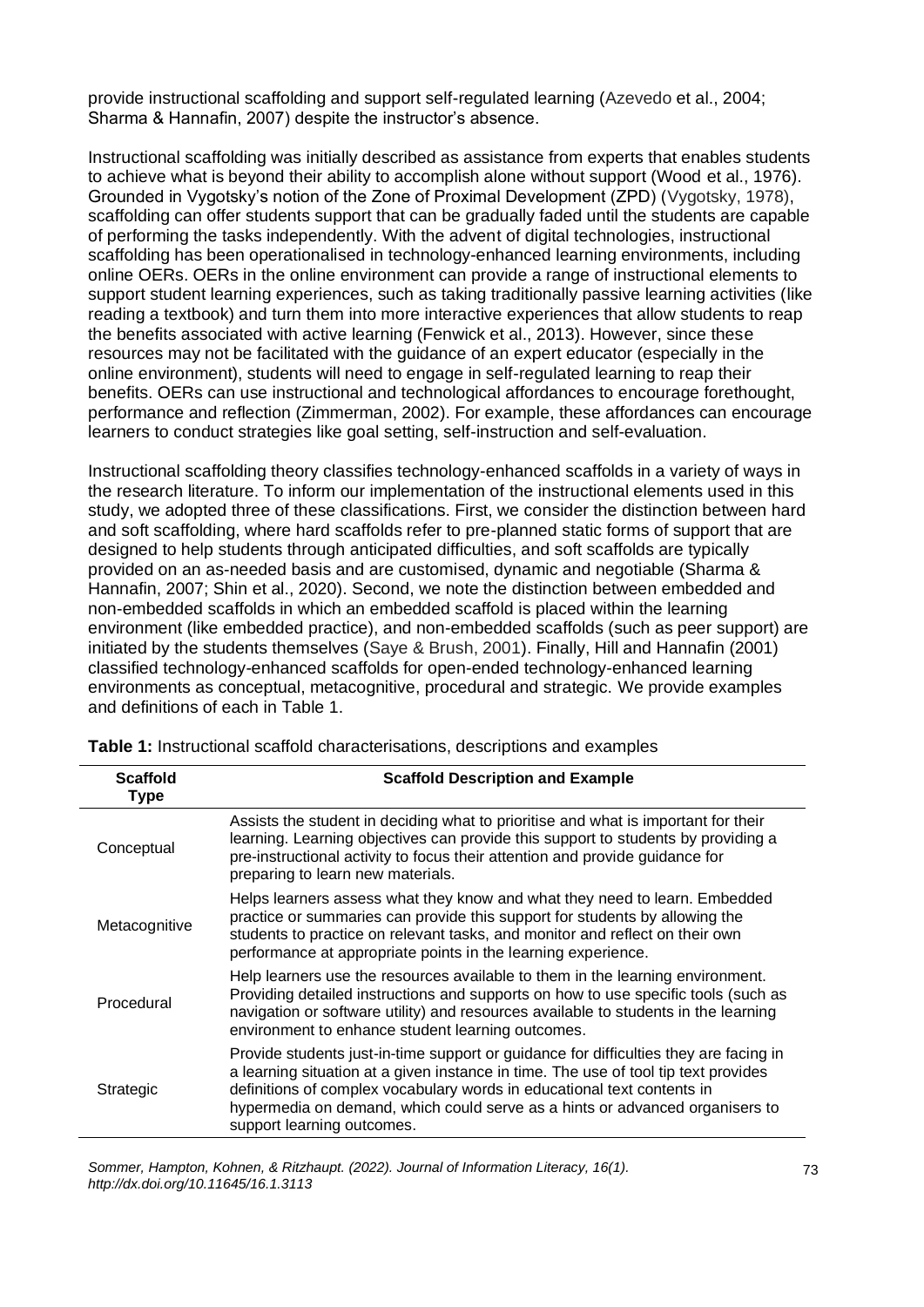provide instructional scaffolding and support self-regulated learning (Azevedo et al., 2004; Sharma & Hannafin, 2007) despite the instructor's absence.

Instructional scaffolding was initially described as assistance from experts that enables students to achieve what is beyond their ability to accomplish alone without support (Wood et al., 1976). Grounded in Vygotsky's notion of the Zone of Proximal Development (ZPD) (Vygotsky, 1978), scaffolding can offer students support that can be gradually faded until the students are capable of performing the tasks independently. With the advent of digital technologies, instructional scaffolding has been operationalised in technology-enhanced learning environments, including online OERs. OERs in the online environment can provide a range of instructional elements to support student learning experiences, such as taking traditionally passive learning activities (like reading a textbook) and turn them into more interactive experiences that allow students to reap the benefits associated with active learning (Fenwick et al., 2013). However, since these resources may not be facilitated with the guidance of an expert educator (especially in the online environment), students will need to engage in self-regulated learning to reap their benefits. OERs can use instructional and technological affordances to encourage forethought, performance and reflection (Zimmerman, 2002). For example, these affordances can encourage learners to conduct strategies like goal setting, self-instruction and self-evaluation.

Instructional scaffolding theory classifies technology-enhanced scaffolds in a variety of ways in the research literature. To inform our implementation of the instructional elements used in this study, we adopted three of these classifications. First, we consider the distinction between hard and soft scaffolding, where hard scaffolds refer to pre-planned static forms of support that are designed to help students through anticipated difficulties, and soft scaffolds are typically provided on an as-needed basis and are customised, dynamic and negotiable (Sharma & Hannafin, 2007; Shin et al., 2020). Second, we note the distinction between embedded and non-embedded scaffolds in which an embedded scaffold is placed within the learning environment (like embedded practice), and non-embedded scaffolds (such as peer support) are initiated by the students themselves (Saye & Brush, 2001). Finally, Hill and Hannafin (2001) classified technology-enhanced scaffolds for open-ended technology-enhanced learning environments as conceptual, metacognitive, procedural and strategic. We provide examples and definitions of each in Table 1.

| <b>Scaffold</b><br><b>Type</b> | <b>Scaffold Description and Example</b>                                                                                                                                                                                                                                                                                                                               |
|--------------------------------|-----------------------------------------------------------------------------------------------------------------------------------------------------------------------------------------------------------------------------------------------------------------------------------------------------------------------------------------------------------------------|
| Conceptual                     | Assists the student in deciding what to prioritise and what is important for their<br>learning. Learning objectives can provide this support to students by providing a<br>pre-instructional activity to focus their attention and provide guidance for<br>preparing to learn new materials.                                                                          |
| Metacognitive                  | Helps learners assess what they know and what they need to learn. Embedded<br>practice or summaries can provide this support for students by allowing the<br>students to practice on relevant tasks, and monitor and reflect on their own<br>performance at appropriate points in the learning experience.                                                            |
| Procedural                     | Help learners use the resources available to them in the learning environment.<br>Providing detailed instructions and supports on how to use specific tools (such as<br>navigation or software utility) and resources available to students in the learning<br>environment to enhance student learning outcomes.                                                      |
| Strategic                      | Provide students just-in-time support or guidance for difficulties they are facing in<br>a learning situation at a given instance in time. The use of tool tip text provides<br>definitions of complex vocabulary words in educational text contents in<br>hypermedia on demand, which could serve as a hints or advanced organisers to<br>support learning outcomes. |

**Table 1:** Instructional scaffold characterisations, descriptions and examples

*Sommer, Hampton, Kohnen, & Ritzhaupt. (2022). Journal of Information Literacy, 16(1). http://dx.doi.org/10.11645/16.1.3113*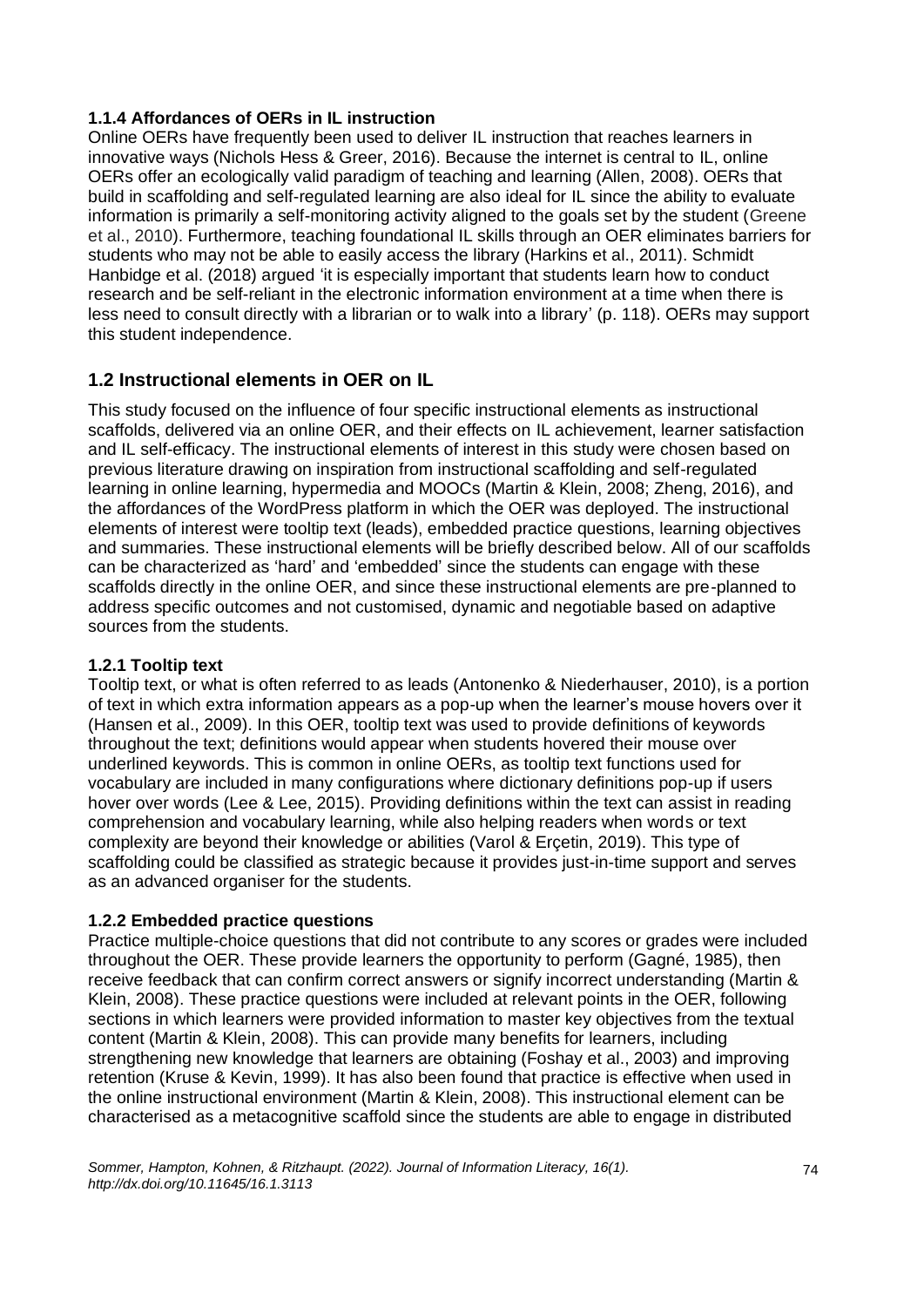### **1.1.4 Affordances of OERs in IL instruction**

Online OERs have frequently been used to deliver IL instruction that reaches learners in innovative ways (Nichols Hess & Greer, 2016). Because the internet is central to IL, online OERs offer an ecologically valid paradigm of teaching and learning (Allen, 2008). OERs that build in scaffolding and self-regulated learning are also ideal for IL since the ability to evaluate information is primarily a self-monitoring activity aligned to the goals set by the student (Greene et al., 2010). Furthermore, teaching foundational IL skills through an OER eliminates barriers for students who may not be able to easily access the library (Harkins et al., 2011). Schmidt Hanbidge et al. (2018) argued 'it is especially important that students learn how to conduct research and be self-reliant in the electronic information environment at a time when there is less need to consult directly with a librarian or to walk into a library' (p. 118). OERs may support this student independence.

# **1.2 Instructional elements in OER on IL**

This study focused on the influence of four specific instructional elements as instructional scaffolds, delivered via an online OER, and their effects on IL achievement, learner satisfaction and IL self-efficacy. The instructional elements of interest in this study were chosen based on previous literature drawing on inspiration from instructional scaffolding and self-regulated learning in online learning, hypermedia and MOOCs (Martin & Klein, 2008; Zheng, 2016), and the affordances of the WordPress platform in which the OER was deployed. The instructional elements of interest were tooltip text (leads), embedded practice questions, learning objectives and summaries. These instructional elements will be briefly described below. All of our scaffolds can be characterized as 'hard' and 'embedded' since the students can engage with these scaffolds directly in the online OER, and since these instructional elements are pre-planned to address specific outcomes and not customised, dynamic and negotiable based on adaptive sources from the students.

# **1.2.1 Tooltip text**

Tooltip text, or what is often referred to as leads (Antonenko & Niederhauser, 2010), is a portion of text in which extra information appears as a pop-up when the learner's mouse hovers over it (Hansen et al., 2009). In this OER, tooltip text was used to provide definitions of keywords throughout the text; definitions would appear when students hovered their mouse over underlined keywords. This is common in online OERs, as tooltip text functions used for vocabulary are included in many configurations where dictionary definitions pop-up if users hover over words (Lee & Lee, 2015). Providing definitions within the text can assist in reading comprehension and vocabulary learning, while also helping readers when words or text complexity are beyond their knowledge or abilities (Varol & Erçetin, 2019). This type of scaffolding could be classified as strategic because it provides just-in-time support and serves as an advanced organiser for the students.

### **1.2.2 Embedded practice questions**

Practice multiple-choice questions that did not contribute to any scores or grades were included throughout the OER. These provide learners the opportunity to perform (Gagné, 1985), then receive feedback that can confirm correct answers or signify incorrect understanding (Martin & Klein, 2008). These practice questions were included at relevant points in the OER, following sections in which learners were provided information to master key objectives from the textual content (Martin & Klein, 2008). This can provide many benefits for learners, including strengthening new knowledge that learners are obtaining (Foshay et al., 2003) and improving retention (Kruse & Kevin, 1999). It has also been found that practice is effective when used in the online instructional environment (Martin & Klein, 2008). This instructional element can be characterised as a metacognitive scaffold since the students are able to engage in distributed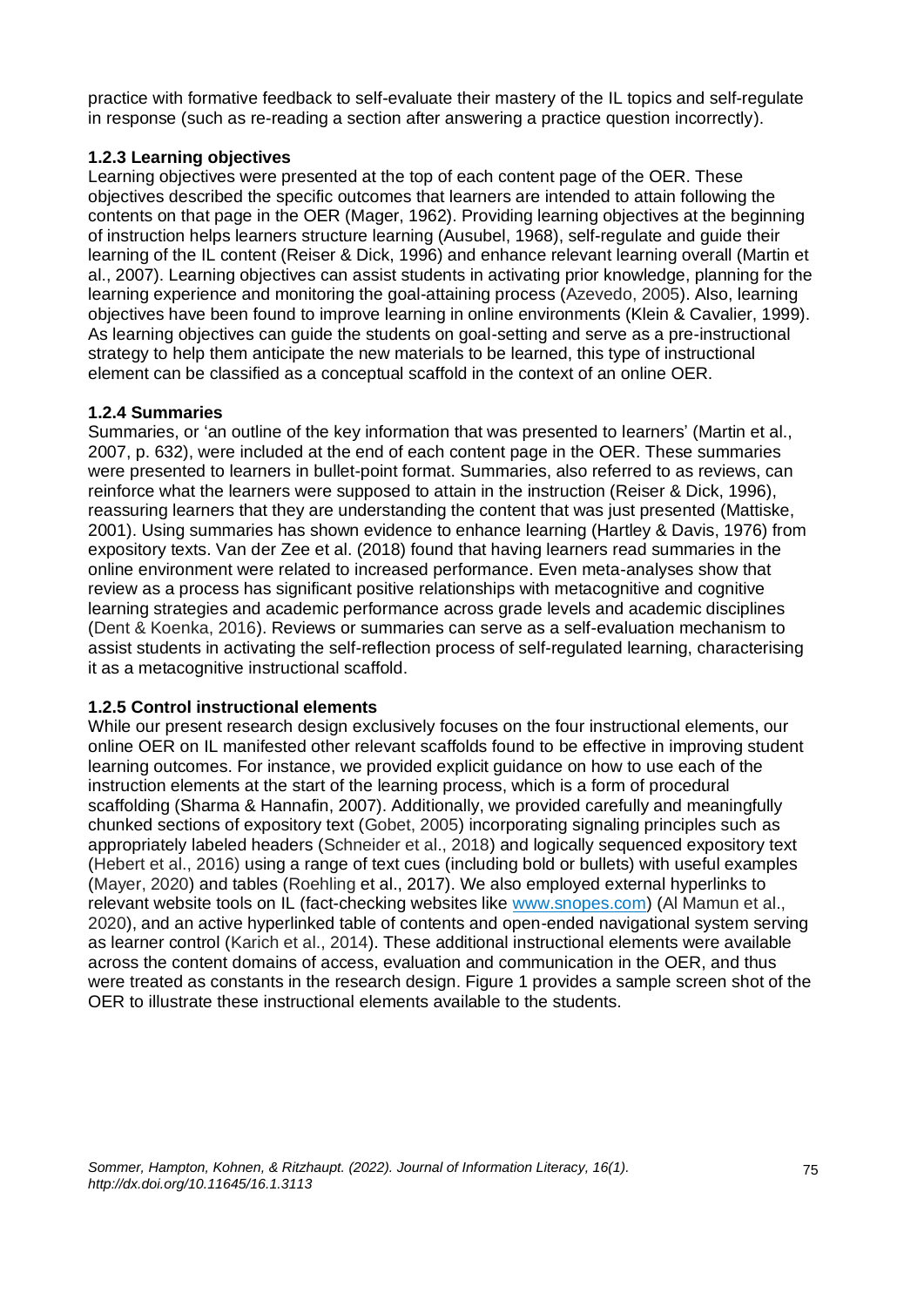practice with formative feedback to self-evaluate their mastery of the IL topics and self-regulate in response (such as re-reading a section after answering a practice question incorrectly).

### **1.2.3 Learning objectives**

Learning objectives were presented at the top of each content page of the OER. These objectives described the specific outcomes that learners are intended to attain following the contents on that page in the OER (Mager, 1962). Providing learning objectives at the beginning of instruction helps learners structure learning (Ausubel, 1968), self-regulate and guide their learning of the IL content (Reiser & Dick, 1996) and enhance relevant learning overall (Martin et al., 2007). Learning objectives can assist students in activating prior knowledge, planning for the learning experience and monitoring the goal-attaining process (Azevedo, 2005). Also, learning objectives have been found to improve learning in online environments (Klein & Cavalier, 1999). As learning objectives can guide the students on goal-setting and serve as a pre-instructional strategy to help them anticipate the new materials to be learned, this type of instructional element can be classified as a conceptual scaffold in the context of an online OER.

### **1.2.4 Summaries**

Summaries, or 'an outline of the key information that was presented to learners' (Martin et al., 2007, p. 632), were included at the end of each content page in the OER. These summaries were presented to learners in bullet-point format. Summaries, also referred to as reviews, can reinforce what the learners were supposed to attain in the instruction (Reiser & Dick, 1996), reassuring learners that they are understanding the content that was just presented (Mattiske, 2001). Using summaries has shown evidence to enhance learning (Hartley & Davis, 1976) from expository texts. Van der Zee et al. (2018) found that having learners read summaries in the online environment were related to increased performance. Even meta-analyses show that review as a process has significant positive relationships with metacognitive and cognitive learning strategies and academic performance across grade levels and academic disciplines (Dent & Koenka, 2016). Reviews or summaries can serve as a self-evaluation mechanism to assist students in activating the self-reflection process of self-regulated learning, characterising it as a metacognitive instructional scaffold.

### **1.2.5 Control instructional elements**

While our present research design exclusively focuses on the four instructional elements, our online OER on IL manifested other relevant scaffolds found to be effective in improving student learning outcomes. For instance, we provided explicit guidance on how to use each of the instruction elements at the start of the learning process, which is a form of procedural scaffolding (Sharma & Hannafin, 2007). Additionally, we provided carefully and meaningfully chunked sections of expository text (Gobet, 2005) incorporating signaling principles such as appropriately labeled headers (Schneider et al., 2018) and logically sequenced expository text (Hebert et al., 2016) using a range of text cues (including bold or bullets) with useful examples (Mayer, 2020) and tables (Roehling et al., 2017). We also employed external hyperlinks to relevant website tools on IL (fact-checking websites like [www.snopes.com\)](https://www.snopes.com/) (Al Mamun et al., 2020), and an active hyperlinked table of contents and open-ended navigational system serving as learner control (Karich et al., 2014). These additional instructional elements were available across the content domains of access, evaluation and communication in the OER, and thus were treated as constants in the research design. Figure 1 provides a sample screen shot of the OER to illustrate these instructional elements available to the students.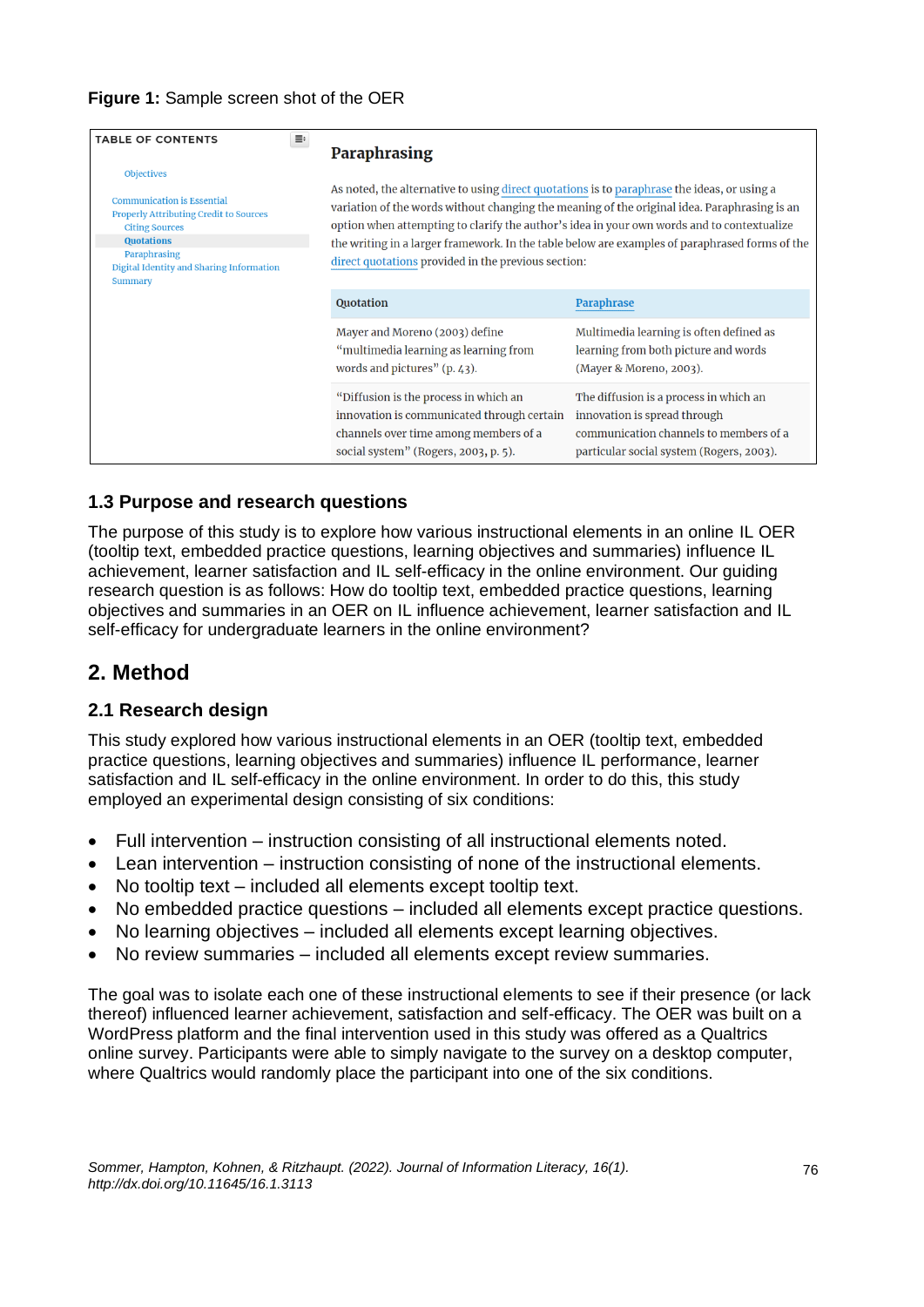| ≡<br><b>TABLE OF CONTENTS</b>                                                                                                                                                                                                | Paraphrasing                                                                                                                                                                                                                                                                                                                                                                                                                                       |                                                                                                                                                              |  |  |
|------------------------------------------------------------------------------------------------------------------------------------------------------------------------------------------------------------------------------|----------------------------------------------------------------------------------------------------------------------------------------------------------------------------------------------------------------------------------------------------------------------------------------------------------------------------------------------------------------------------------------------------------------------------------------------------|--------------------------------------------------------------------------------------------------------------------------------------------------------------|--|--|
| <b>Objectives</b><br><b>Communication is Essential</b><br><b>Properly Attributing Credit to Sources</b><br><b>Citing Sources</b><br><b>Quotations</b><br>Paraphrasing<br>Digital Identity and Sharing Information<br>Summary | As noted, the alternative to using direct quotations is to paraphrase the ideas, or using a<br>variation of the words without changing the meaning of the original idea. Paraphrasing is an<br>option when attempting to clarify the author's idea in your own words and to contextualize<br>the writing in a larger framework. In the table below are examples of paraphrased forms of the<br>direct quotations provided in the previous section: |                                                                                                                                                              |  |  |
|                                                                                                                                                                                                                              | Quotation                                                                                                                                                                                                                                                                                                                                                                                                                                          | Paraphrase                                                                                                                                                   |  |  |
|                                                                                                                                                                                                                              | Mayer and Moreno (2003) define<br>"multimedia learning as learning from<br>words and pictures" $(p. 43)$ .                                                                                                                                                                                                                                                                                                                                         | Multimedia learning is often defined as<br>learning from both picture and words<br>(Mayer & Moreno, 2003).                                                   |  |  |
|                                                                                                                                                                                                                              | "Diffusion is the process in which an<br>innovation is communicated through certain<br>channels over time among members of a<br>social system" (Rogers, 2003, p. 5).                                                                                                                                                                                                                                                                               | The diffusion is a process in which an<br>innovation is spread through<br>communication channels to members of a<br>particular social system (Rogers, 2003). |  |  |

# **1.3 Purpose and research questions**

The purpose of this study is to explore how various instructional elements in an online IL OER (tooltip text, embedded practice questions, learning objectives and summaries) influence IL achievement, learner satisfaction and IL self-efficacy in the online environment. Our guiding research question is as follows: How do tooltip text, embedded practice questions, learning objectives and summaries in an OER on IL influence achievement, learner satisfaction and IL self-efficacy for undergraduate learners in the online environment?

# **2. Method**

# **2.1 Research design**

This study explored how various instructional elements in an OER (tooltip text, embedded practice questions, learning objectives and summaries) influence IL performance, learner satisfaction and IL self-efficacy in the online environment. In order to do this, this study employed an experimental design consisting of six conditions:

- Full intervention instruction consisting of all instructional elements noted.
- Lean intervention instruction consisting of none of the instructional elements.
- No tooltip text included all elements except tooltip text.
- No embedded practice questions included all elements except practice questions.
- No learning objectives included all elements except learning objectives.
- No review summaries included all elements except review summaries.

The goal was to isolate each one of these instructional elements to see if their presence (or lack thereof) influenced learner achievement, satisfaction and self-efficacy. The OER was built on a WordPress platform and the final intervention used in this study was offered as a Qualtrics online survey. Participants were able to simply navigate to the survey on a desktop computer, where Qualtrics would randomly place the participant into one of the six conditions.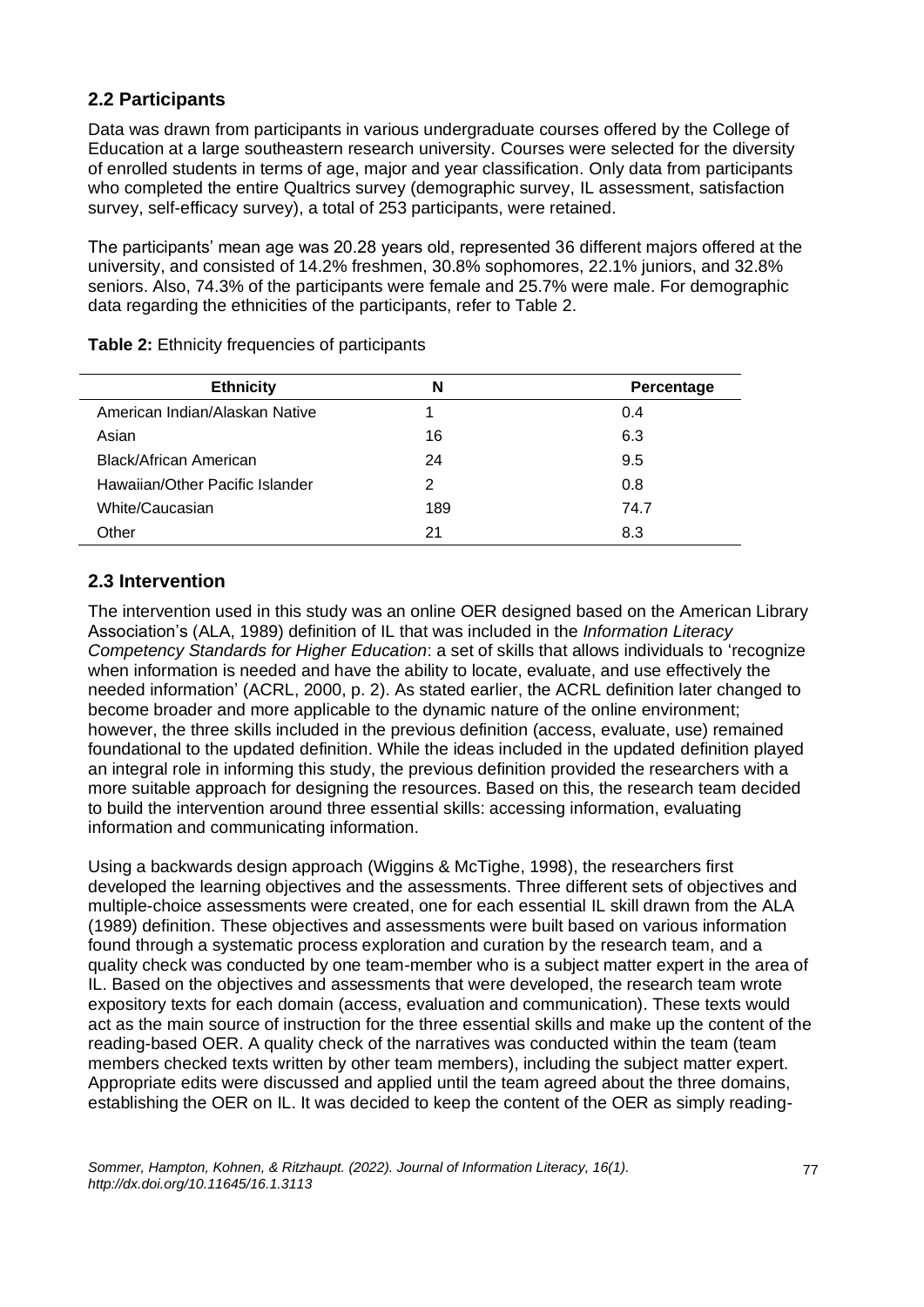# **2.2 Participants**

Data was drawn from participants in various undergraduate courses offered by the College of Education at a large southeastern research university. Courses were selected for the diversity of enrolled students in terms of age, major and year classification. Only data from participants who completed the entire Qualtrics survey (demographic survey, IL assessment, satisfaction survey, self-efficacy survey), a total of 253 participants, were retained.

The participants' mean age was 20.28 years old, represented 36 different majors offered at the university, and consisted of 14.2% freshmen, 30.8% sophomores, 22.1% juniors, and 32.8% seniors. Also, 74.3% of the participants were female and 25.7% were male. For demographic data regarding the ethnicities of the participants, refer to Table 2.

| <b>Ethnicity</b>                | N   | Percentage |
|---------------------------------|-----|------------|
| American Indian/Alaskan Native  |     | 0.4        |
| Asian                           | 16  | 6.3        |
| Black/African American          | 24  | 9.5        |
| Hawaiian/Other Pacific Islander | 2   | 0.8        |
| White/Caucasian                 | 189 | 74.7       |
| Other                           | 21  | 8.3        |

**Table 2:** Ethnicity frequencies of participants

# **2.3 Intervention**

The intervention used in this study was an online OER designed based on the American Library Association's (ALA, 1989) definition of IL that was included in the *Information Literacy Competency Standards for Higher Education*: a set of skills that allows individuals to 'recognize when information is needed and have the ability to locate, evaluate, and use effectively the needed information' (ACRL, 2000, p. 2). As stated earlier, the ACRL definition later changed to become broader and more applicable to the dynamic nature of the online environment; however, the three skills included in the previous definition (access, evaluate, use) remained foundational to the updated definition. While the ideas included in the updated definition played an integral role in informing this study, the previous definition provided the researchers with a more suitable approach for designing the resources. Based on this, the research team decided to build the intervention around three essential skills: accessing information, evaluating information and communicating information.

Using a backwards design approach (Wiggins & McTighe, 1998), the researchers first developed the learning objectives and the assessments. Three different sets of objectives and multiple-choice assessments were created, one for each essential IL skill drawn from the ALA (1989) definition. These objectives and assessments were built based on various information found through a systematic process exploration and curation by the research team, and a quality check was conducted by one team-member who is a subject matter expert in the area of IL. Based on the objectives and assessments that were developed, the research team wrote expository texts for each domain (access, evaluation and communication). These texts would act as the main source of instruction for the three essential skills and make up the content of the reading-based OER. A quality check of the narratives was conducted within the team (team members checked texts written by other team members), including the subject matter expert. Appropriate edits were discussed and applied until the team agreed about the three domains, establishing the OER on IL. It was decided to keep the content of the OER as simply reading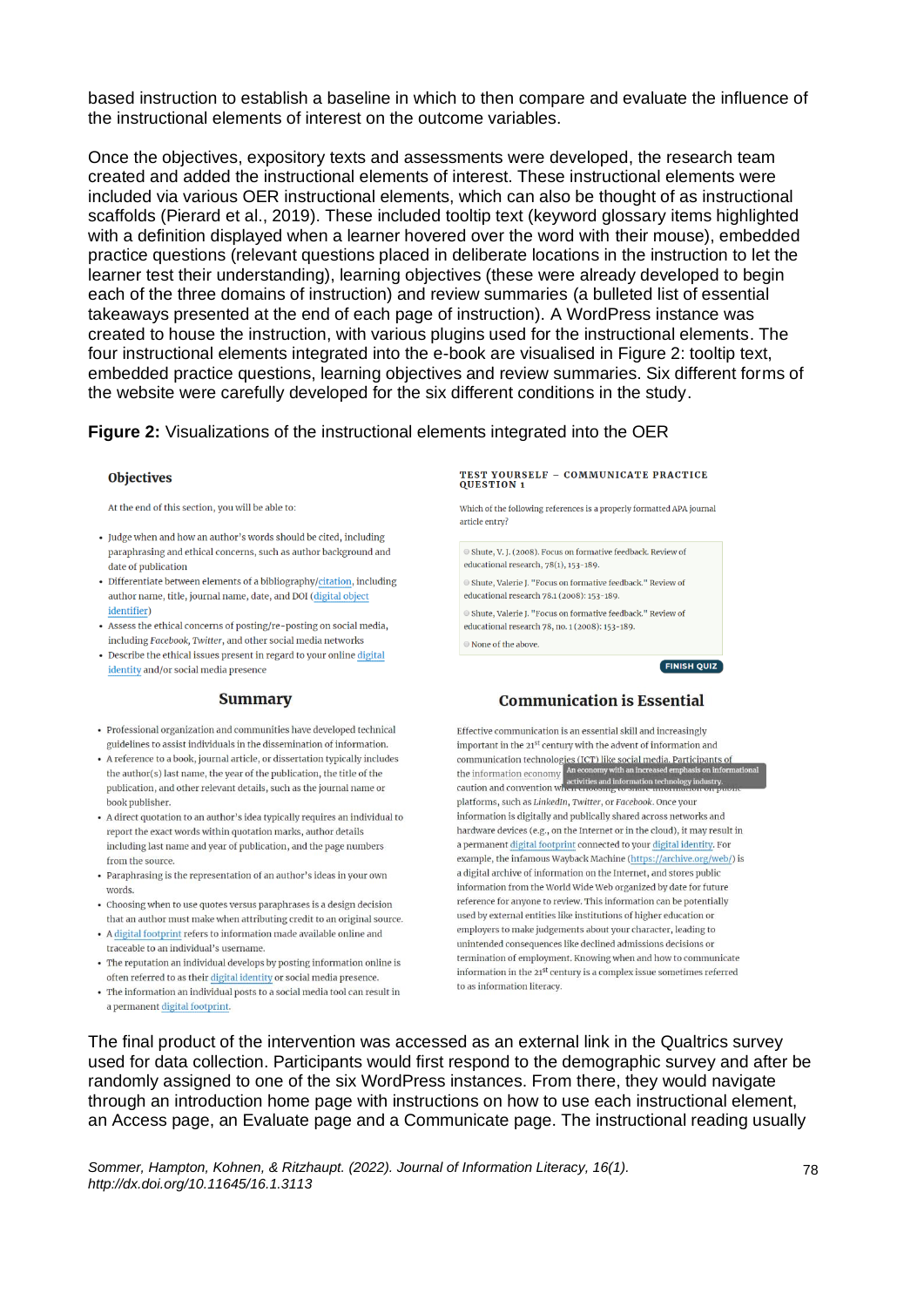based instruction to establish a baseline in which to then compare and evaluate the influence of the instructional elements of interest on the outcome variables.

Once the objectives, expository texts and assessments were developed, the research team created and added the instructional elements of interest. These instructional elements were included via various OER instructional elements, which can also be thought of as instructional scaffolds (Pierard et al., 2019). These included tooltip text (keyword glossary items highlighted with a definition displayed when a learner hovered over the word with their mouse), embedded practice questions (relevant questions placed in deliberate locations in the instruction to let the learner test their understanding), learning objectives (these were already developed to begin each of the three domains of instruction) and review summaries (a bulleted list of essential takeaways presented at the end of each page of instruction). A WordPress instance was created to house the instruction, with various plugins used for the instructional elements. The four instructional elements integrated into the e-book are visualised in Figure 2: tooltip text, embedded practice questions, learning objectives and review summaries. Six different forms of the website were carefully developed for the six different conditions in the study.

### **Figure 2:** Visualizations of the instructional elements integrated into the OER

#### **Objectives**

At the end of this section, you will be able to:

- Judge when and how an author's words should be cited, including paraphrasing and ethical concerns, such as author background and date of publication
- · Differentiate between elements of a bibliography/citation, including author name, title, journal name, date, and DOI (digital object identifier)
- Assess the ethical concerns of posting/re-posting on social media, including Facebook, Twitter, and other social media networks
- Describe the ethical issues present in regard to your online digital identity and/or social media presence

#### **Summary**

- Professional organization and communities have developed technical guidelines to assist individuals in the dissemination of information.
- A reference to a book, journal article, or dissertation typically includes the author(s) last name, the year of the publication, the title of the publication, and other relevant details, such as the journal name or book publisher.
- A direct quotation to an author's idea typically requires an individual to report the exact words within quotation marks, author details including last name and year of publication, and the page numbers from the source.
- Paraphrasing is the representation of an author's ideas in your own words.
- Choosing when to use quotes versus paraphrases is a design decision that an author must make when attributing credit to an original source.
- A digital footprint refers to information made available online and traceable to an individual's username.
- The reputation an individual develops by posting information online is often referred to as their digital identity or social media presence.
- The information an individual posts to a social media tool can result in a permanent digital footprint.

# TEST YOURSELF - COMMUNICATE PRACTICE<br>QUESTION 1

Which of the following references is a properly formatted APA journal article entry?

Shute, V. I. (2008). Focus on formative feedback. Review of educational research, 78(1), 153-189.

● Shute, Valerie J. "Focus on formative feedback." Review of educational research 78.1 (2008): 153-189.

● Shute, Valerie L "Focus on formative feedback." Review of educational research 78, no. 1 (2008): 153-189.

© None of the above.

**FINISH QUIZ** 

#### **Communication is Essential**

Effective communication is an essential skill and increasingly important in the 21st century with the advent of information and communication technologies  $f(\mathcal{C}_T^n)$  like social media. Participants of<br>the information economy an economy with an increased emphasis on inform<br>caution and convention where encounts the origination technology industry. platforms, such as LinkedIn, Twitter, or Facebook. Once your information is digitally and publically shared across networks and hardware devices (e.g., on the Internet or in the cloud), it may result in a permanent digital footprint connected to your digital identity. For example, the infamous Wayback Machine (https://archive.org/web/) is a digital archive of information on the Internet, and stores public information from the World Wide Web organized by date for future reference for anyone to review. This information can be potentially used by external entities like institutions of higher education or employers to make judgements about your character, leading to unintended consequences like declined admissions decisions or termination of employment. Knowing when and how to communicate information in the 21st century is a complex issue sometimes referred to as information literacy.

The final product of the intervention was accessed as an external link in the Qualtrics survey used for data collection. Participants would first respond to the demographic survey and after be randomly assigned to one of the six WordPress instances. From there, they would navigate through an introduction home page with instructions on how to use each instructional element, an Access page, an Evaluate page and a Communicate page. The instructional reading usually

*Sommer, Hampton, Kohnen, & Ritzhaupt. (2022). Journal of Information Literacy, 16(1). http://dx.doi.org/10.11645/16.1.3113*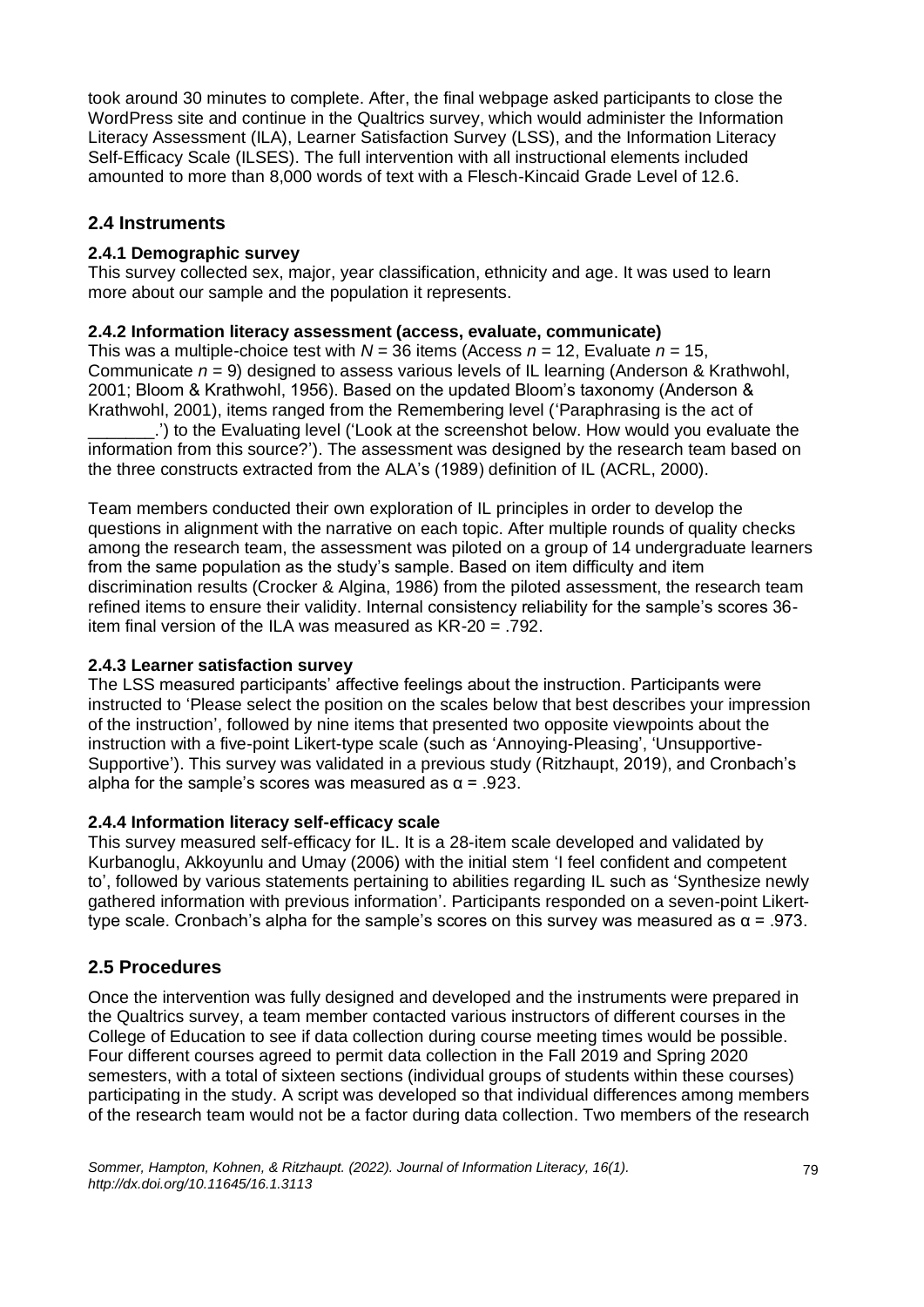took around 30 minutes to complete. After, the final webpage asked participants to close the WordPress site and continue in the Qualtrics survey, which would administer the Information Literacy Assessment (ILA), Learner Satisfaction Survey (LSS), and the Information Literacy Self-Efficacy Scale (ILSES). The full intervention with all instructional elements included amounted to more than 8,000 words of text with a Flesch-Kincaid Grade Level of 12.6.

# **2.4 Instruments**

### **2.4.1 Demographic survey**

This survey collected sex, major, year classification, ethnicity and age. It was used to learn more about our sample and the population it represents.

### **2.4.2 Information literacy assessment (access, evaluate, communicate)**

This was a multiple-choice test with *N* = 36 items (Access *n* = 12, Evaluate *n* = 15, Communicate *n* = 9) designed to assess various levels of IL learning (Anderson & Krathwohl, 2001; Bloom & Krathwohl, 1956). Based on the updated Bloom's taxonomy (Anderson & Krathwohl, 2001), items ranged from the Remembering level ('Paraphrasing is the act of

\_\_\_\_\_\_\_.') to the Evaluating level ('Look at the screenshot below. How would you evaluate the information from this source?'). The assessment was designed by the research team based on the three constructs extracted from the ALA's (1989) definition of IL (ACRL, 2000).

Team members conducted their own exploration of IL principles in order to develop the questions in alignment with the narrative on each topic. After multiple rounds of quality checks among the research team, the assessment was piloted on a group of 14 undergraduate learners from the same population as the study's sample. Based on item difficulty and item discrimination results (Crocker & Algina, 1986) from the piloted assessment, the research team refined items to ensure their validity. Internal consistency reliability for the sample's scores 36 item final version of the ILA was measured as KR-20 = .792.

# **2.4.3 Learner satisfaction survey**

The LSS measured participants' affective feelings about the instruction. Participants were instructed to 'Please select the position on the scales below that best describes your impression of the instruction', followed by nine items that presented two opposite viewpoints about the instruction with a five-point Likert-type scale (such as 'Annoying-Pleasing', 'Unsupportive-Supportive'). This survey was validated in a previous study (Ritzhaupt, 2019), and Cronbach's alpha for the sample's scores was measured as  $\alpha$  = .923.

### **2.4.4 Information literacy self-efficacy scale**

This survey measured self-efficacy for IL. It is a 28-item scale developed and validated by Kurbanoglu, Akkoyunlu and Umay (2006) with the initial stem 'I feel confident and competent to', followed by various statements pertaining to abilities regarding IL such as 'Synthesize newly gathered information with previous information'. Participants responded on a seven-point Likerttype scale. Cronbach's alpha for the sample's scores on this survey was measured as α = .973.

# **2.5 Procedures**

Once the intervention was fully designed and developed and the instruments were prepared in the Qualtrics survey, a team member contacted various instructors of different courses in the College of Education to see if data collection during course meeting times would be possible. Four different courses agreed to permit data collection in the Fall 2019 and Spring 2020 semesters, with a total of sixteen sections (individual groups of students within these courses) participating in the study. A script was developed so that individual differences among members of the research team would not be a factor during data collection. Two members of the research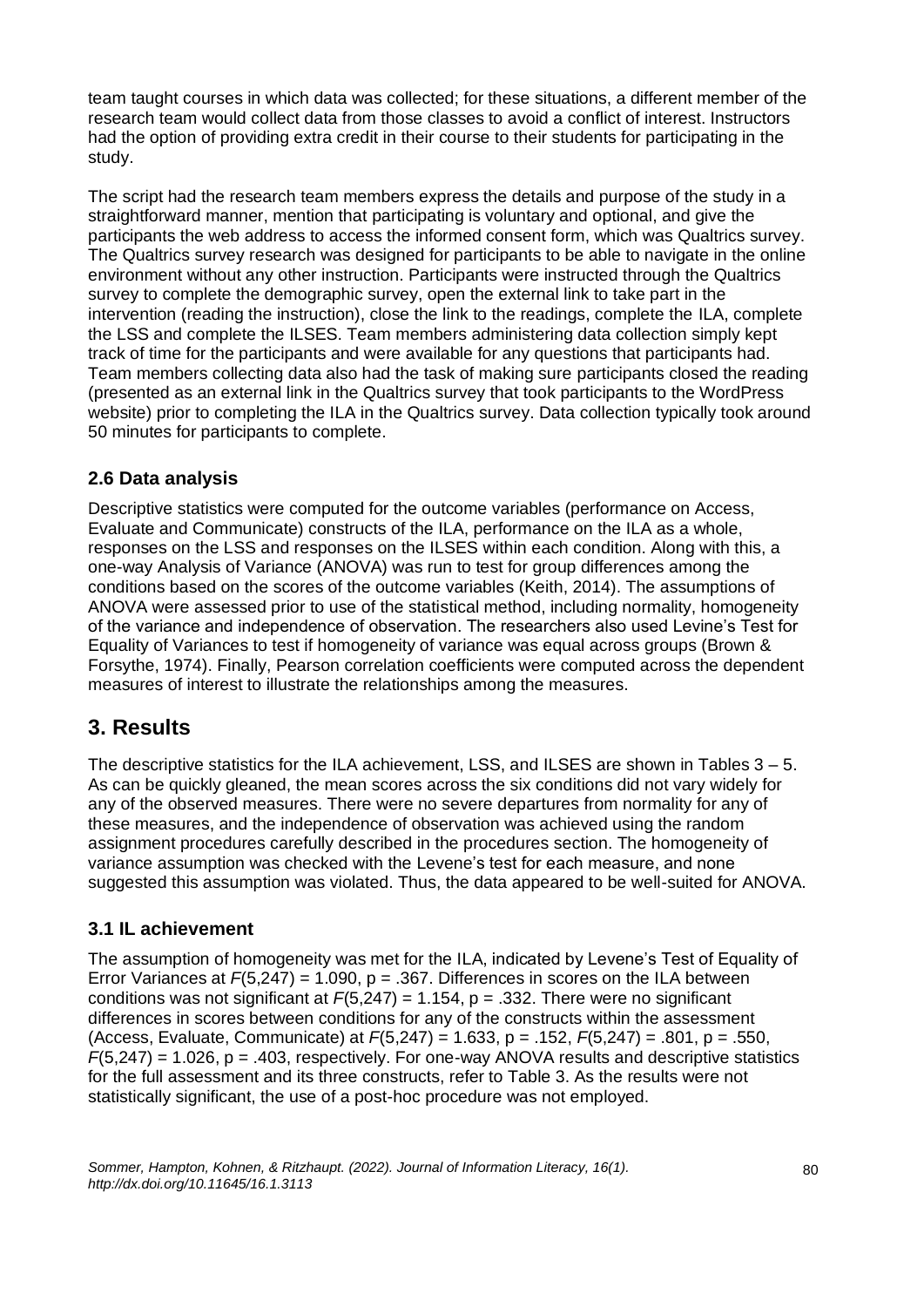team taught courses in which data was collected; for these situations, a different member of the research team would collect data from those classes to avoid a conflict of interest. Instructors had the option of providing extra credit in their course to their students for participating in the study.

The script had the research team members express the details and purpose of the study in a straightforward manner, mention that participating is voluntary and optional, and give the participants the web address to access the informed consent form, which was Qualtrics survey. The Qualtrics survey research was designed for participants to be able to navigate in the online environment without any other instruction. Participants were instructed through the Qualtrics survey to complete the demographic survey, open the external link to take part in the intervention (reading the instruction), close the link to the readings, complete the ILA, complete the LSS and complete the ILSES. Team members administering data collection simply kept track of time for the participants and were available for any questions that participants had. Team members collecting data also had the task of making sure participants closed the reading (presented as an external link in the Qualtrics survey that took participants to the WordPress website) prior to completing the ILA in the Qualtrics survey. Data collection typically took around 50 minutes for participants to complete.

# **2.6 Data analysis**

Descriptive statistics were computed for the outcome variables (performance on Access, Evaluate and Communicate) constructs of the ILA, performance on the ILA as a whole, responses on the LSS and responses on the ILSES within each condition. Along with this, a one-way Analysis of Variance (ANOVA) was run to test for group differences among the conditions based on the scores of the outcome variables (Keith, 2014). The assumptions of ANOVA were assessed prior to use of the statistical method, including normality, homogeneity of the variance and independence of observation. The researchers also used Levine's Test for Equality of Variances to test if homogeneity of variance was equal across groups (Brown & Forsythe, 1974). Finally, Pearson correlation coefficients were computed across the dependent measures of interest to illustrate the relationships among the measures.

# **3. Results**

The descriptive statistics for the ILA achievement, LSS, and ILSES are shown in Tables  $3 - 5$ . As can be quickly gleaned, the mean scores across the six conditions did not vary widely for any of the observed measures. There were no severe departures from normality for any of these measures, and the independence of observation was achieved using the random assignment procedures carefully described in the procedures section. The homogeneity of variance assumption was checked with the Levene's test for each measure, and none suggested this assumption was violated. Thus, the data appeared to be well-suited for ANOVA.

# **3.1 IL achievement**

The assumption of homogeneity was met for the ILA, indicated by Levene's Test of Equality of Error Variances at *F*(5,247) = 1.090, p = .367. Differences in scores on the ILA between conditions was not significant at *F*(5,247) = 1.154, p = .332. There were no significant differences in scores between conditions for any of the constructs within the assessment (Access, Evaluate, Communicate) at *F*(5,247) = 1.633, p = .152, *F*(5,247) = .801, p = .550, *F*(5,247) = 1.026, p = .403, respectively. For one-way ANOVA results and descriptive statistics for the full assessment and its three constructs, refer to Table 3. As the results were not statistically significant, the use of a post-hoc procedure was not employed.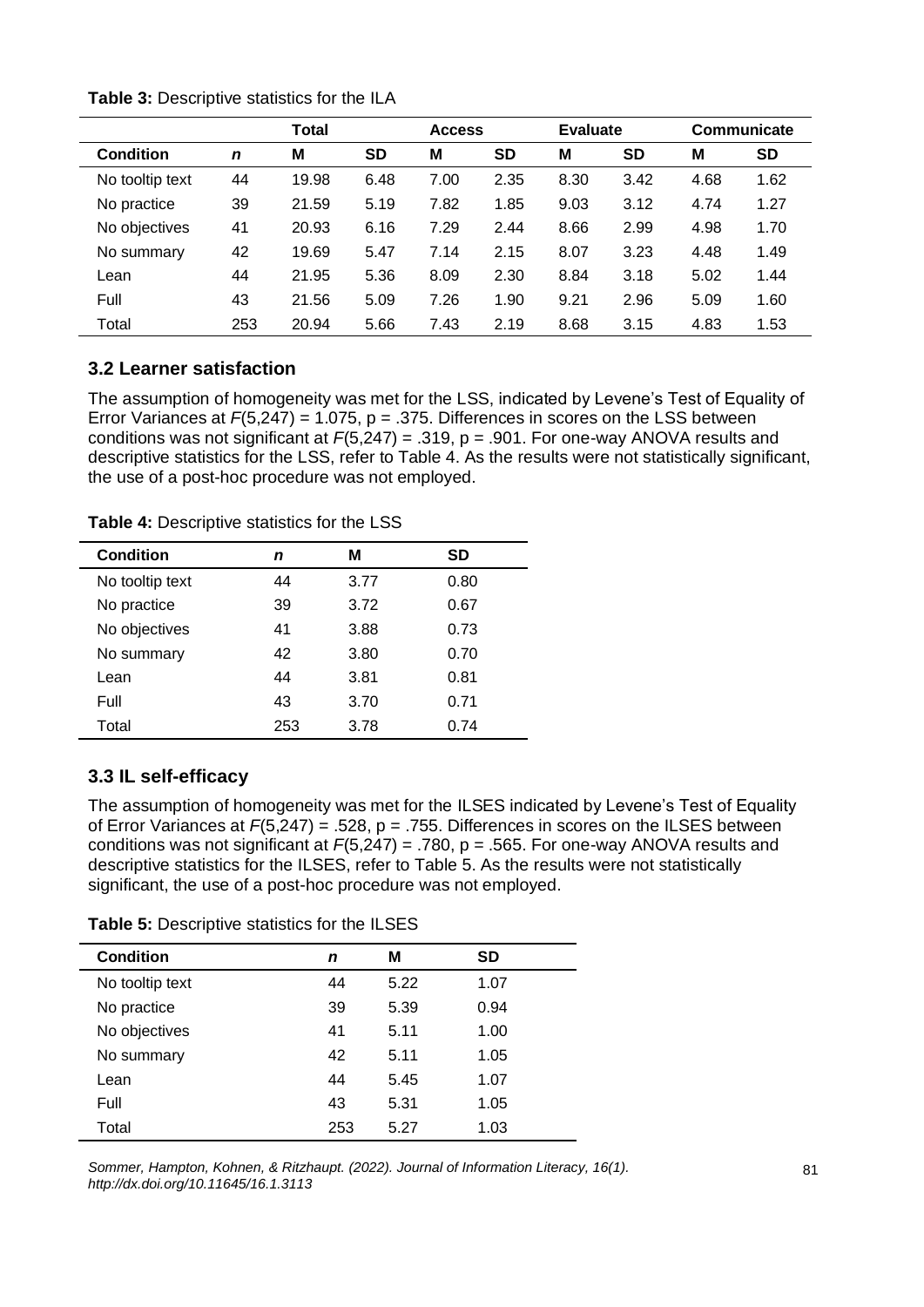|                  |             | Total |           | <b>Access</b> |           | <b>Evaluate</b> |           | Communicate |           |
|------------------|-------------|-------|-----------|---------------|-----------|-----------------|-----------|-------------|-----------|
| <b>Condition</b> | $\mathbf n$ | M     | <b>SD</b> | M             | <b>SD</b> | M               | <b>SD</b> | M           | <b>SD</b> |
| No tooltip text  | 44          | 19.98 | 6.48      | 7.00          | 2.35      | 8.30            | 3.42      | 4.68        | 1.62      |
| No practice      | 39          | 21.59 | 5.19      | 7.82          | 1.85      | 9.03            | 3.12      | 4.74        | 1.27      |
| No objectives    | 41          | 20.93 | 6.16      | 7.29          | 2.44      | 8.66            | 2.99      | 4.98        | 1.70      |
| No summary       | 42          | 19.69 | 5.47      | 7.14          | 2.15      | 8.07            | 3.23      | 4.48        | 1.49      |
| Lean             | 44          | 21.95 | 5.36      | 8.09          | 2.30      | 8.84            | 3.18      | 5.02        | 1.44      |
| Full             | 43          | 21.56 | 5.09      | 7.26          | 1.90      | 9.21            | 2.96      | 5.09        | 1.60      |
| Total            | 253         | 20.94 | 5.66      | 7.43          | 2.19      | 8.68            | 3.15      | 4.83        | 1.53      |

**Table 3:** Descriptive statistics for the ILA

### **3.2 Learner satisfaction**

The assumption of homogeneity was met for the LSS, indicated by Levene's Test of Equality of Error Variances at  $F(5,247) = 1.075$ ,  $p = .375$ . Differences in scores on the LSS between conditions was not significant at *F*(5,247) = .319, p = .901. For one-way ANOVA results and descriptive statistics for the LSS, refer to Table 4. As the results were not statistically significant, the use of a post-hoc procedure was not employed.

| <b>Condition</b> | n   | М    | SD   |
|------------------|-----|------|------|
| No tooltip text  | 44  | 3.77 | 0.80 |
| No practice      | 39  | 3.72 | 0.67 |
| No objectives    | 41  | 3.88 | 0.73 |
| No summary       | 42  | 3.80 | 0.70 |
| Lean             | 44  | 3.81 | 0.81 |
| Full             | 43  | 3.70 | 0.71 |
| Total            | 253 | 3.78 | 0.74 |
|                  |     |      |      |

**Table 4:** Descriptive statistics for the LSS

# **3.3 IL self-efficacy**

The assumption of homogeneity was met for the ILSES indicated by Levene's Test of Equality of Error Variances at *F*(5,247) = .528, p = .755. Differences in scores on the ILSES between conditions was not significant at *F*(5,247) = .780, p = .565. For one-way ANOVA results and descriptive statistics for the ILSES, refer to Table 5. As the results were not statistically significant, the use of a post-hoc procedure was not employed.

| <b>Condition</b> | n   | М    | <b>SD</b> |
|------------------|-----|------|-----------|
| No tooltip text  | 44  | 5.22 | 1.07      |
| No practice      | 39  | 5.39 | 0.94      |
| No objectives    | 41  | 5.11 | 1.00      |
| No summary       | 42  | 5.11 | 1.05      |
| Lean             | 44  | 5.45 | 1.07      |
| Full             | 43  | 5.31 | 1.05      |
| Total            | 253 | 5.27 | 1.03      |

*Sommer, Hampton, Kohnen, & Ritzhaupt. (2022). Journal of Information Literacy, 16(1). http://dx.doi.org/10.11645/16.1.3113*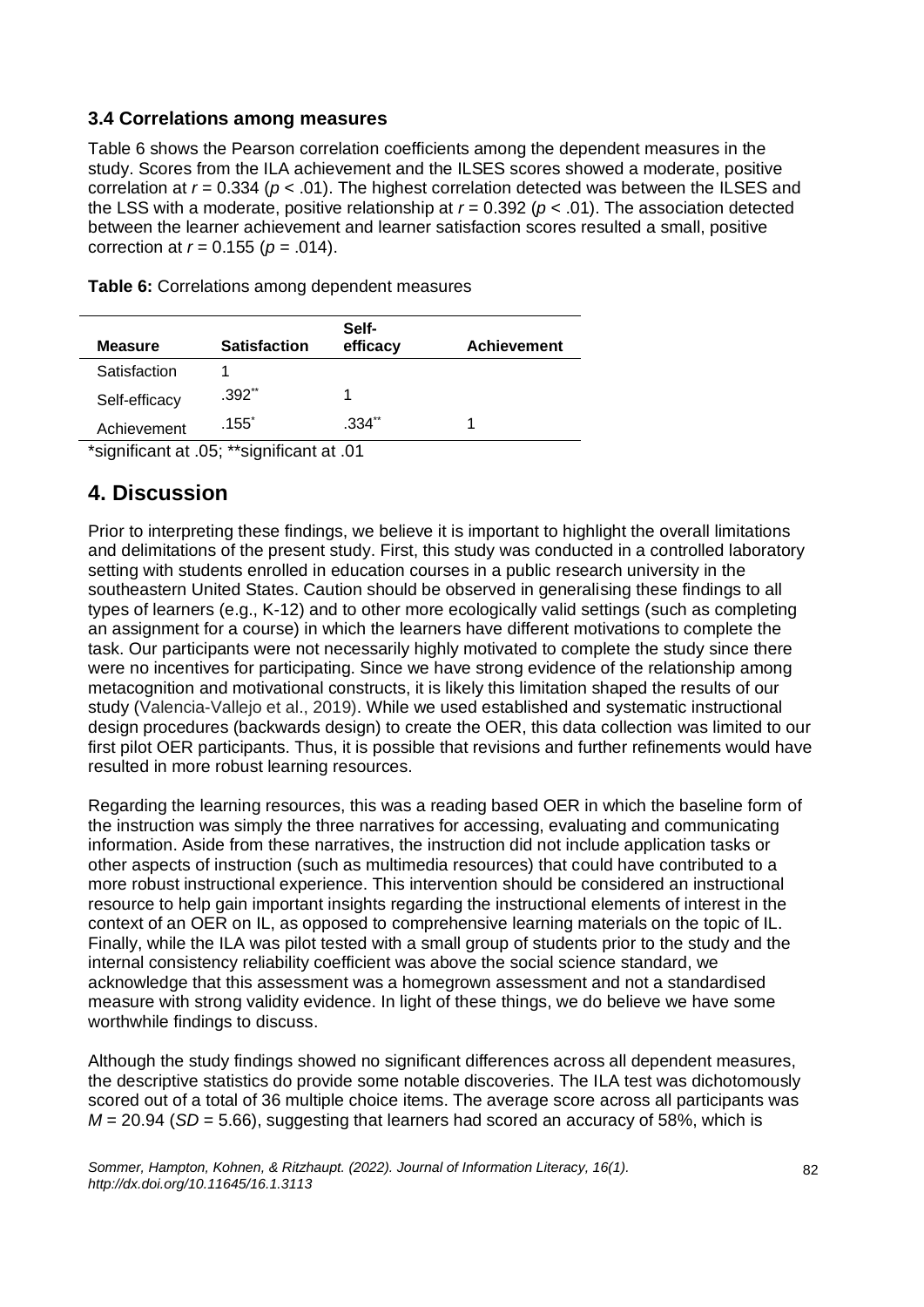### **3.4 Correlations among measures**

Table 6 shows the Pearson correlation coefficients among the dependent measures in the study. Scores from the ILA achievement and the ILSES scores showed a moderate, positive correlation at *r* = 0.334 (*p* < .01). The highest correlation detected was between the ILSES and the LSS with a moderate, positive relationship at  $r = 0.392$  ( $p < .01$ ). The association detected between the learner achievement and learner satisfaction scores resulted a small, positive correction at *r* = 0.155 (*p* = .014).

| <b>Measure</b> | <b>Satisfaction</b>                                           | Self-<br>efficacy | <b>Achievement</b> |
|----------------|---------------------------------------------------------------|-------------------|--------------------|
| Satisfaction   |                                                               |                   |                    |
| Self-efficacy  | $.392**$                                                      |                   |                    |
| Achievement    | .155 <sup>°</sup>                                             | .334**            |                    |
|                | $*$ pianificant of $\Omega$ E, $**$ pianificant of $\Omega$ 1 |                   |                    |

**Table 6:** Correlations among dependent measures

\*significant at .05; \*\*significant at .01

# **4. Discussion**

Prior to interpreting these findings, we believe it is important to highlight the overall limitations and delimitations of the present study. First, this study was conducted in a controlled laboratory setting with students enrolled in education courses in a public research university in the southeastern United States. Caution should be observed in generalising these findings to all types of learners (e.g., K-12) and to other more ecologically valid settings (such as completing an assignment for a course) in which the learners have different motivations to complete the task. Our participants were not necessarily highly motivated to complete the study since there were no incentives for participating. Since we have strong evidence of the relationship among metacognition and motivational constructs, it is likely this limitation shaped the results of our study (Valencia-Vallejo et al., 2019). While we used established and systematic instructional design procedures (backwards design) to create the OER, this data collection was limited to our first pilot OER participants. Thus, it is possible that revisions and further refinements would have resulted in more robust learning resources.

Regarding the learning resources, this was a reading based OER in which the baseline form of the instruction was simply the three narratives for accessing, evaluating and communicating information. Aside from these narratives, the instruction did not include application tasks or other aspects of instruction (such as multimedia resources) that could have contributed to a more robust instructional experience. This intervention should be considered an instructional resource to help gain important insights regarding the instructional elements of interest in the context of an OER on IL, as opposed to comprehensive learning materials on the topic of IL. Finally, while the ILA was pilot tested with a small group of students prior to the study and the internal consistency reliability coefficient was above the social science standard, we acknowledge that this assessment was a homegrown assessment and not a standardised measure with strong validity evidence. In light of these things, we do believe we have some worthwhile findings to discuss.

Although the study findings showed no significant differences across all dependent measures, the descriptive statistics do provide some notable discoveries. The ILA test was dichotomously scored out of a total of 36 multiple choice items. The average score across all participants was *M* = 20.94 (*SD* = 5.66), suggesting that learners had scored an accuracy of 58%, which is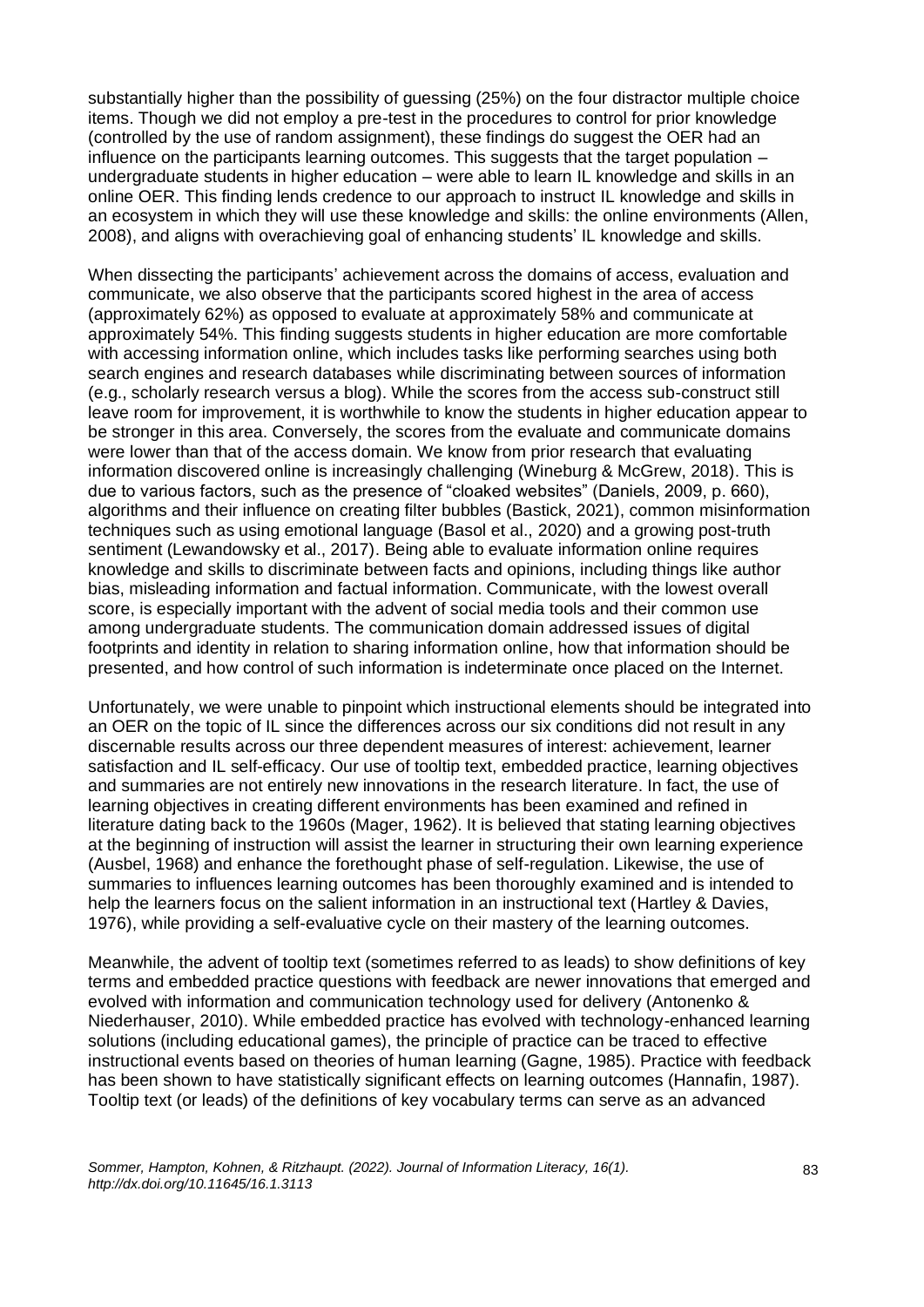substantially higher than the possibility of guessing (25%) on the four distractor multiple choice items. Though we did not employ a pre-test in the procedures to control for prior knowledge (controlled by the use of random assignment), these findings do suggest the OER had an influence on the participants learning outcomes. This suggests that the target population – undergraduate students in higher education – were able to learn IL knowledge and skills in an online OER. This finding lends credence to our approach to instruct IL knowledge and skills in an ecosystem in which they will use these knowledge and skills: the online environments (Allen, 2008), and aligns with overachieving goal of enhancing students' IL knowledge and skills.

When dissecting the participants' achievement across the domains of access, evaluation and communicate, we also observe that the participants scored highest in the area of access (approximately 62%) as opposed to evaluate at approximately 58% and communicate at approximately 54%. This finding suggests students in higher education are more comfortable with accessing information online, which includes tasks like performing searches using both search engines and research databases while discriminating between sources of information (e.g., scholarly research versus a blog). While the scores from the access sub-construct still leave room for improvement, it is worthwhile to know the students in higher education appear to be stronger in this area. Conversely, the scores from the evaluate and communicate domains were lower than that of the access domain. We know from prior research that evaluating information discovered online is increasingly challenging (Wineburg & McGrew, 2018). This is due to various factors, such as the presence of "cloaked websites" (Daniels, 2009, p. 660), algorithms and their influence on creating filter bubbles (Bastick, 2021), common misinformation techniques such as using emotional language (Basol et al., 2020) and a growing post-truth sentiment (Lewandowsky et al., 2017). Being able to evaluate information online requires knowledge and skills to discriminate between facts and opinions, including things like author bias, misleading information and factual information. Communicate, with the lowest overall score, is especially important with the advent of social media tools and their common use among undergraduate students. The communication domain addressed issues of digital footprints and identity in relation to sharing information online, how that information should be presented, and how control of such information is indeterminate once placed on the Internet.

Unfortunately, we were unable to pinpoint which instructional elements should be integrated into an OER on the topic of IL since the differences across our six conditions did not result in any discernable results across our three dependent measures of interest: achievement, learner satisfaction and IL self-efficacy. Our use of tooltip text, embedded practice, learning objectives and summaries are not entirely new innovations in the research literature. In fact, the use of learning objectives in creating different environments has been examined and refined in literature dating back to the 1960s (Mager, 1962). It is believed that stating learning objectives at the beginning of instruction will assist the learner in structuring their own learning experience (Ausbel, 1968) and enhance the forethought phase of self-regulation. Likewise, the use of summaries to influences learning outcomes has been thoroughly examined and is intended to help the learners focus on the salient information in an instructional text (Hartley & Davies, 1976), while providing a self-evaluative cycle on their mastery of the learning outcomes.

Meanwhile, the advent of tooltip text (sometimes referred to as leads) to show definitions of key terms and embedded practice questions with feedback are newer innovations that emerged and evolved with information and communication technology used for delivery (Antonenko & Niederhauser, 2010). While embedded practice has evolved with technology-enhanced learning solutions (including educational games), the principle of practice can be traced to effective instructional events based on theories of human learning (Gagne, 1985). Practice with feedback has been shown to have statistically significant effects on learning outcomes (Hannafin, 1987). Tooltip text (or leads) of the definitions of key vocabulary terms can serve as an advanced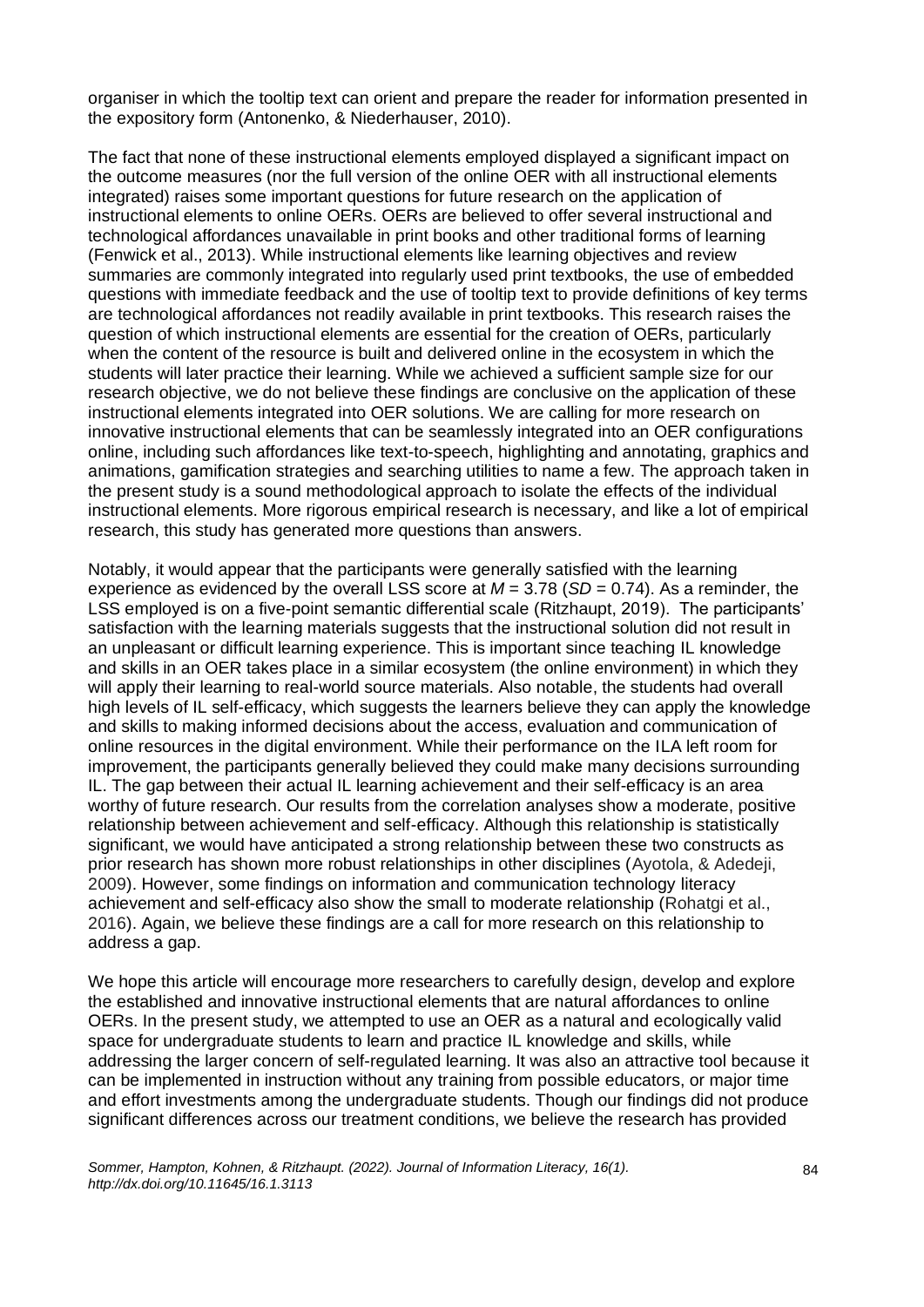organiser in which the tooltip text can orient and prepare the reader for information presented in the expository form (Antonenko, & Niederhauser, 2010).

The fact that none of these instructional elements employed displayed a significant impact on the outcome measures (nor the full version of the online OER with all instructional elements integrated) raises some important questions for future research on the application of instructional elements to online OERs. OERs are believed to offer several instructional and technological affordances unavailable in print books and other traditional forms of learning (Fenwick et al., 2013). While instructional elements like learning objectives and review summaries are commonly integrated into regularly used print textbooks, the use of embedded questions with immediate feedback and the use of tooltip text to provide definitions of key terms are technological affordances not readily available in print textbooks. This research raises the question of which instructional elements are essential for the creation of OERs, particularly when the content of the resource is built and delivered online in the ecosystem in which the students will later practice their learning. While we achieved a sufficient sample size for our research objective, we do not believe these findings are conclusive on the application of these instructional elements integrated into OER solutions. We are calling for more research on innovative instructional elements that can be seamlessly integrated into an OER configurations online, including such affordances like text-to-speech, highlighting and annotating, graphics and animations, gamification strategies and searching utilities to name a few. The approach taken in the present study is a sound methodological approach to isolate the effects of the individual instructional elements. More rigorous empirical research is necessary, and like a lot of empirical research, this study has generated more questions than answers.

Notably, it would appear that the participants were generally satisfied with the learning experience as evidenced by the overall LSS score at  $M = 3.78$  ( $SD = 0.74$ ). As a reminder, the LSS employed is on a five-point semantic differential scale (Ritzhaupt, 2019). The participants' satisfaction with the learning materials suggests that the instructional solution did not result in an unpleasant or difficult learning experience. This is important since teaching IL knowledge and skills in an OER takes place in a similar ecosystem (the online environment) in which they will apply their learning to real-world source materials. Also notable, the students had overall high levels of IL self-efficacy, which suggests the learners believe they can apply the knowledge and skills to making informed decisions about the access, evaluation and communication of online resources in the digital environment. While their performance on the ILA left room for improvement, the participants generally believed they could make many decisions surrounding IL. The gap between their actual IL learning achievement and their self-efficacy is an area worthy of future research. Our results from the correlation analyses show a moderate, positive relationship between achievement and self-efficacy. Although this relationship is statistically significant, we would have anticipated a strong relationship between these two constructs as prior research has shown more robust relationships in other disciplines (Ayotola, & Adedeji, 2009). However, some findings on information and communication technology literacy achievement and self-efficacy also show the small to moderate relationship (Rohatgi et al., 2016). Again, we believe these findings are a call for more research on this relationship to address a gap.

We hope this article will encourage more researchers to carefully design, develop and explore the established and innovative instructional elements that are natural affordances to online OERs. In the present study, we attempted to use an OER as a natural and ecologically valid space for undergraduate students to learn and practice IL knowledge and skills, while addressing the larger concern of self-regulated learning. It was also an attractive tool because it can be implemented in instruction without any training from possible educators, or major time and effort investments among the undergraduate students. Though our findings did not produce significant differences across our treatment conditions, we believe the research has provided

*Sommer, Hampton, Kohnen, & Ritzhaupt. (2022). Journal of Information Literacy, 16(1). http://dx.doi.org/10.11645/16.1.3113*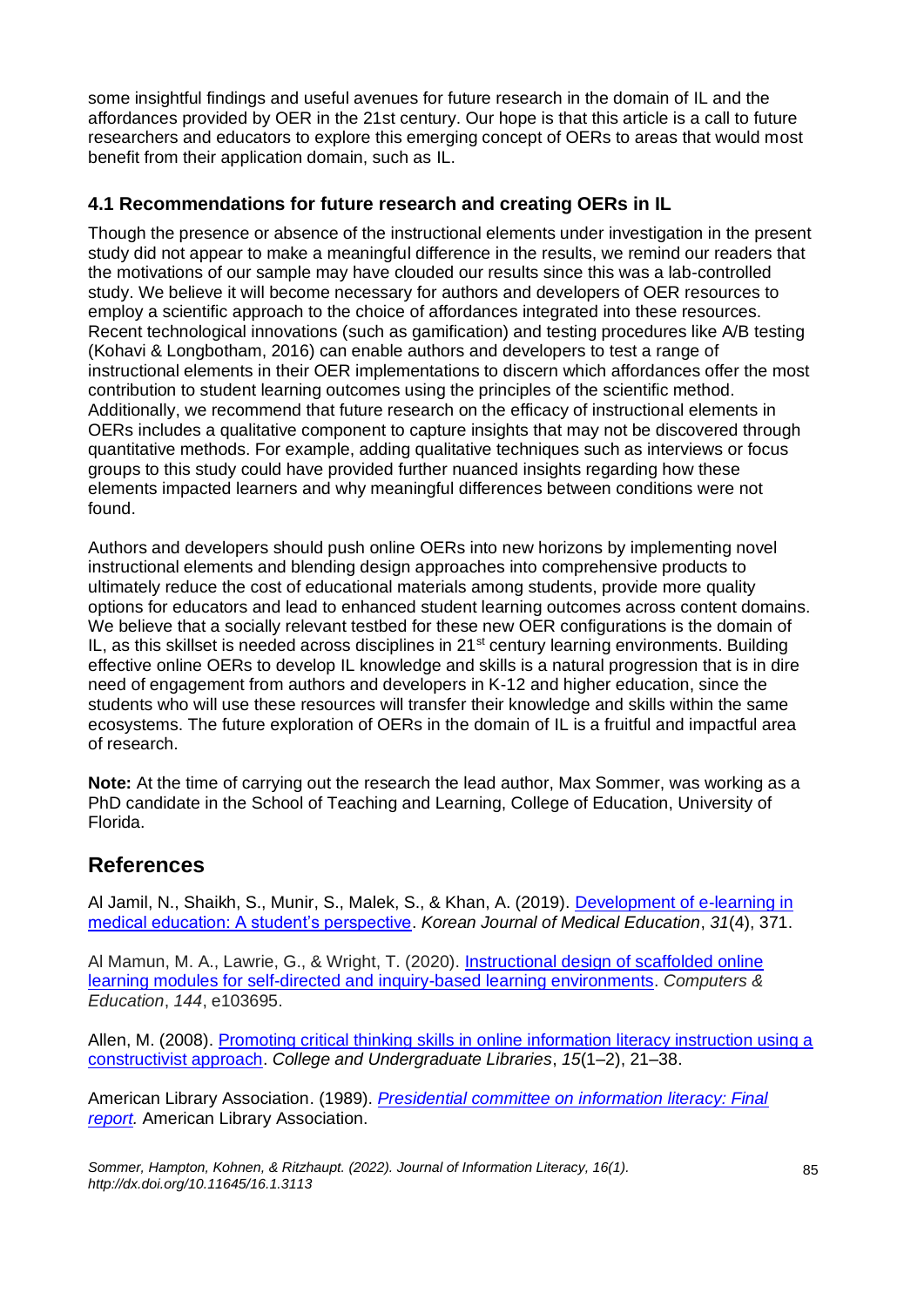some insightful findings and useful avenues for future research in the domain of IL and the affordances provided by OER in the 21st century. Our hope is that this article is a call to future researchers and educators to explore this emerging concept of OERs to areas that would most benefit from their application domain, such as IL.

# **4.1 Recommendations for future research and creating OERs in IL**

Though the presence or absence of the instructional elements under investigation in the present study did not appear to make a meaningful difference in the results, we remind our readers that the motivations of our sample may have clouded our results since this was a lab-controlled study. We believe it will become necessary for authors and developers of OER resources to employ a scientific approach to the choice of affordances integrated into these resources. Recent technological innovations (such as gamification) and testing procedures like A/B testing (Kohavi & Longbotham, 2016) can enable authors and developers to test a range of instructional elements in their OER implementations to discern which affordances offer the most contribution to student learning outcomes using the principles of the scientific method. Additionally, we recommend that future research on the efficacy of instructional elements in OERs includes a qualitative component to capture insights that may not be discovered through quantitative methods. For example, adding qualitative techniques such as interviews or focus groups to this study could have provided further nuanced insights regarding how these elements impacted learners and why meaningful differences between conditions were not found.

Authors and developers should push online OERs into new horizons by implementing novel instructional elements and blending design approaches into comprehensive products to ultimately reduce the cost of educational materials among students, provide more quality options for educators and lead to enhanced student learning outcomes across content domains. We believe that a socially relevant testbed for these new OER configurations is the domain of IL, as this skillset is needed across disciplines in  $21<sup>st</sup>$  century learning environments. Building effective online OERs to develop IL knowledge and skills is a natural progression that is in dire need of engagement from authors and developers in K-12 and higher education, since the students who will use these resources will transfer their knowledge and skills within the same ecosystems. The future exploration of OERs in the domain of IL is a fruitful and impactful area of research.

**Note:** At the time of carrying out the research the lead author, Max Sommer, was working as a PhD candidate in the School of Teaching and Learning, College of Education, University of Florida.

# **References**

Al Jamil, N., Shaikh, S., Munir, S., Malek, S., & Khan, A. (2019). [Development of e-learning in](https://dx.doi.org/10.3946%2Fkjme.2019.147)  [medical education: A student's perspective.](https://dx.doi.org/10.3946%2Fkjme.2019.147) *Korean Journal of Medical Education*, *31*(4), 371.

Al Mamun, M. A., Lawrie, G., & Wright, T. (2020). [Instructional design of scaffolded online](https://doi.org/10.1016/j.compedu.2019.103695)  [learning modules for self-directed and inquiry-based learning environments.](https://doi.org/10.1016/j.compedu.2019.103695) *Computers & Education*, *144*, e103695.

Allen, M. (2008). [Promoting critical thinking skills in online information literacy instruction using a](https://doi.org/10.1080/10691310802176780)  [constructivist approach.](https://doi.org/10.1080/10691310802176780) *College and Undergraduate Libraries*, *15*(1–2), 21–38.

American Library Association. (1989). *[Presidential committee on information literacy: Final](https://www.ala.org/acrl/publications/whitepapers/presidential)  [report.](https://www.ala.org/acrl/publications/whitepapers/presidential)* American Library Association.

*Sommer, Hampton, Kohnen, & Ritzhaupt. (2022). Journal of Information Literacy, 16(1). http://dx.doi.org/10.11645/16.1.3113*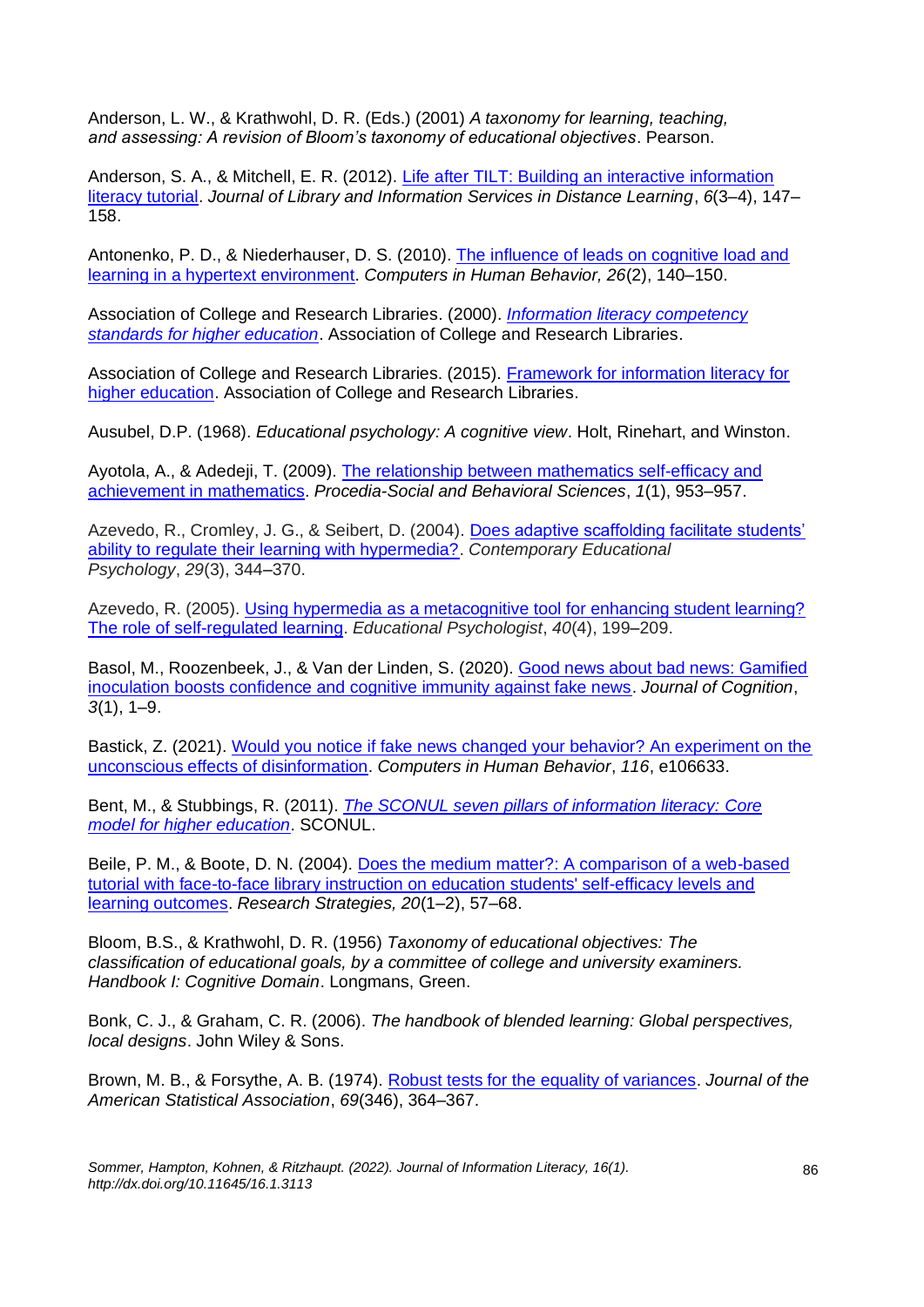Anderson, L. W., & Krathwohl, D. R. (Eds.) (2001) *A taxonomy for learning, teaching, and assessing: A revision of Bloom's taxonomy of educational objectives*. Pearson.

Anderson, S. A., & Mitchell, E. R. (2012). [Life after TILT: Building an interactive information](https://doi.org/10.1080/1533290X.2012.705106)  [literacy tutorial.](https://doi.org/10.1080/1533290X.2012.705106) *Journal of Library and Information Services in Distance Learning*, *6*(3–4), 147– 158.

Antonenko, P. D., & Niederhauser, D. S. (2010). [The influence of leads on cognitive load and](https://doi.org/10.1016/j.chb.2009.10.014)  [learning in a hypertext environment.](https://doi.org/10.1016/j.chb.2009.10.014) *Computers in Human Behavior, 26*(2), 140–150.

Association of College and Research Libraries. (2000). *[Information literacy competency](https://alair.ala.org/bitstream/handle/11213/7668/ACRL%20Information%20Literacy%20Competency%20Standards%20for%20Higher%20Education.pdf?sequence=1&isAllowed=y)  [standards for higher education](https://alair.ala.org/bitstream/handle/11213/7668/ACRL%20Information%20Literacy%20Competency%20Standards%20for%20Higher%20Education.pdf?sequence=1&isAllowed=y)*. Association of College and Research Libraries.

Association of College and Research Libraries. (2015). [Framework for information literacy for](http://www.ala.org/acrl/sites/ala.org.acrl/files/content/issues/infolit/Framework_ILHE.pdf)  [higher education.](http://www.ala.org/acrl/sites/ala.org.acrl/files/content/issues/infolit/Framework_ILHE.pdf) Association of College and Research Libraries.

Ausubel, D.P. (1968). *Educational psychology: A cognitive view*. Holt, Rinehart, and Winston.

Ayotola, A., & Adedeji, T. (2009). [The relationship between mathematics self-efficacy and](https://doi.org/10.1016/j.sbspro.2009.01.169)  [achievement in mathematics.](https://doi.org/10.1016/j.sbspro.2009.01.169) *Procedia-Social and Behavioral Sciences*, *1*(1), 953–957.

Azevedo, R., Cromley, J. G., & Seibert, D. (2004). [Does adaptive scaffolding facilitate students'](https://doi.org/10.1016/j.cedpsych.2003.09.002)  [ability to regulate their learning with hypermedia?.](https://doi.org/10.1016/j.cedpsych.2003.09.002) *Contemporary Educational Psychology*, *29*(3), 344–370.

Azevedo, R. (2005). Using hypermedia as a metacognitive tool for enhancing student learning? [The role of self-regulated learning.](https://doi.org/10.1207/s15326985ep4004_2) *Educational Psychologist*, *40*(4), 199–209.

Basol, M., Roozenbeek, J., & Van der Linden, S. (2020)[. Good news about bad news: Gamified](https://doi.org/10.5334/joc.91)  [inoculation boosts confidence and cognitive immunity against fake news.](https://doi.org/10.5334/joc.91) *Journal of Cognition*, *3*(1), 1–9.

Bastick, Z. (2021). [Would you notice if fake news changed your behavior? An experiment on the](https://doi.org/10.1016/j.chb.2020.106633)  [unconscious effects of disinformation.](https://doi.org/10.1016/j.chb.2020.106633) *Computers in Human Behavior*, *116*, e106633.

Bent, M., & Stubbings, R. (2011). *[The SCONUL seven pillars of information literacy: Core](https://eprints.ncl.ac.uk/file_store/production/192827/156279C4-30EE-4356-A2ED-A48D9D474286.pdf)  [model for higher education](https://eprints.ncl.ac.uk/file_store/production/192827/156279C4-30EE-4356-A2ED-A48D9D474286.pdf)*. SCONUL.

Beile, P. M., & Boote, D. N. (2004). [Does the medium matter?: A comparison of a web-based](https://doi.org/10.1016/j.resstr.2005.07.002)  [tutorial with face-to-face library instruction on education students' self-efficacy levels and](https://doi.org/10.1016/j.resstr.2005.07.002)  [learning outcomes.](https://doi.org/10.1016/j.resstr.2005.07.002) *Research Strategies, 20*(1–2), 57–68.

Bloom, B.S., & Krathwohl, D. R. (1956) *Taxonomy of educational objectives: The classification of educational goals, by a committee of college and university examiners. Handbook I: Cognitive Domain*. Longmans, Green.

Bonk, C. J., & Graham, C. R. (2006). *The handbook of blended learning: Global perspectives, local designs*. John Wiley & Sons.

Brown, M. B., & Forsythe, A. B. (1974). [Robust tests for the equality of variances.](https://doi.org/10.1080/01621459.1974.10482955) *Journal of the American Statistical Association*, *69*(346), 364–367.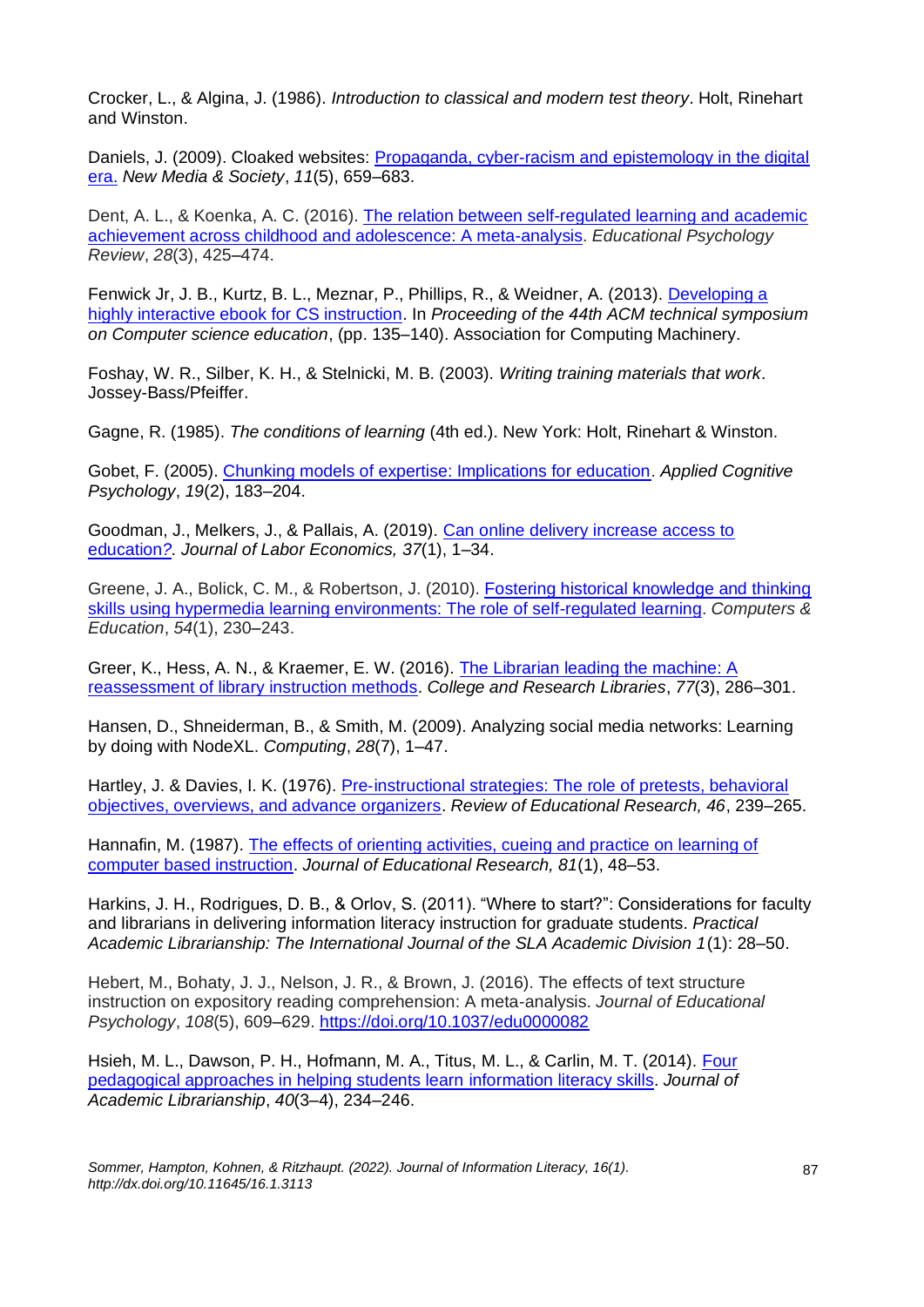Crocker, L., & Algina, J. (1986). *Introduction to classical and modern test theory*. Holt, Rinehart and Winston.

Daniels, J. (2009). Cloaked websites: [Propaganda, cyber-racism and epistemology in the digital](https://doi.org/10.1177/1461444809105345)  [era.](https://doi.org/10.1177/1461444809105345) *New Media & Society*, *11*(5), 659–683.

Dent, A. L., & Koenka, A. C. (2016). [The relation between self-regulated learning and academic](https://doi.org/10.1007/s10648-015-9320-8)  [achievement across childhood and adolescence: A meta-analysis.](https://doi.org/10.1007/s10648-015-9320-8) *Educational Psychology Review*, *28*(3), 425–474.

Fenwick Jr, J. B., Kurtz, B. L., Meznar, P., Phillips, R., & Weidner, A. (2013). [Developing a](https://dl.acm.org/doi/abs/10.1145/2445196.2445241)  [highly interactive ebook for CS instruction.](https://dl.acm.org/doi/abs/10.1145/2445196.2445241) In *Proceeding of the 44th ACM technical symposium on Computer science education*, (pp. 135–140). Association for Computing Machinery.

Foshay, W. R., Silber, K. H., & Stelnicki, M. B. (2003). *Writing training materials that work*. Jossey-Bass/Pfeiffer.

Gagne, R. (1985). *The conditions of learning* (4th ed.). New York: Holt, Rinehart & Winston.

Gobet, F. (2005). [Chunking models of expertise: Implications for education.](https://doi.org/10.1002/acp.1110) *Applied Cognitive Psychology*, *19*(2), 183–204.

Goodman, J., Melkers, J., & Pallais, A. (2019). [Can online delivery increase access to](https://doi.org/10.1086/698895)  [education](https://doi.org/10.1086/698895)*?. Journal of Labor Economics, 37*(1), 1–34.

Greene, J. A., Bolick, C. M., & Robertson, J. (2010). [Fostering historical knowledge and thinking](https://doi.org/10.1016/j.compedu.2009.08.006)  [skills using hypermedia learning environments: The role of self-regulated learning.](https://doi.org/10.1016/j.compedu.2009.08.006) *Computers & Education*, *54*(1), 230–243.

Greer, K., Hess, A. N., & Kraemer, E. W. (2016). [The Librarian leading the machine: A](https://doi.org/10.5860/crl.77.3.286)  [reassessment of library instruction methods.](https://doi.org/10.5860/crl.77.3.286) *College and Research Libraries*, *77*(3), 286–301.

Hansen, D., Shneiderman, B., & Smith, M. (2009). Analyzing social media networks: Learning by doing with NodeXL. *Computing*, *28*(7), 1–47.

Hartley, J. & Davies, I. K. (1976). Pre‐instructional strategies: [The role of pretests, behavioral](https://doi.org/10.3102%2F00346543046002239)  [objectives, overviews, and advance organizers.](https://doi.org/10.3102%2F00346543046002239) *Review of Educational Research, 46*, 239–265.

Hannafin, M. (1987). [The effects of orienting activities, cueing and practice on learning of](https://doi.org/10.1080/00220671.1987.10885796)  [computer based instruction.](https://doi.org/10.1080/00220671.1987.10885796) *Journal of Educational Research, 81*(1), 48–53.

Harkins, J. H., Rodrigues, D. B., & Orlov, S. (2011). "Where to start?": Considerations for faculty and librarians in delivering information literacy instruction for graduate students. *Practical Academic Librarianship: The International Journal of the SLA Academic Division 1*(1): 28–50.

Hebert, M., Bohaty, J. J., Nelson, J. R., & Brown, J. (2016). The effects of text structure instruction on expository reading comprehension: A meta-analysis. *Journal of Educational Psychology*, *108*(5), 609–629. <https://doi.org/10.1037/edu0000082>

Hsieh, M. L., Dawson, P. H., Hofmann, M. A., Titus, M. L., & Carlin, M. T. (2014). [Four](https://doi.org/10.1016/j.acalib.2014.03.012)  [pedagogical approaches in helping students learn information literacy skills.](https://doi.org/10.1016/j.acalib.2014.03.012) *Journal of Academic Librarianship*, *40*(3–4), 234–246.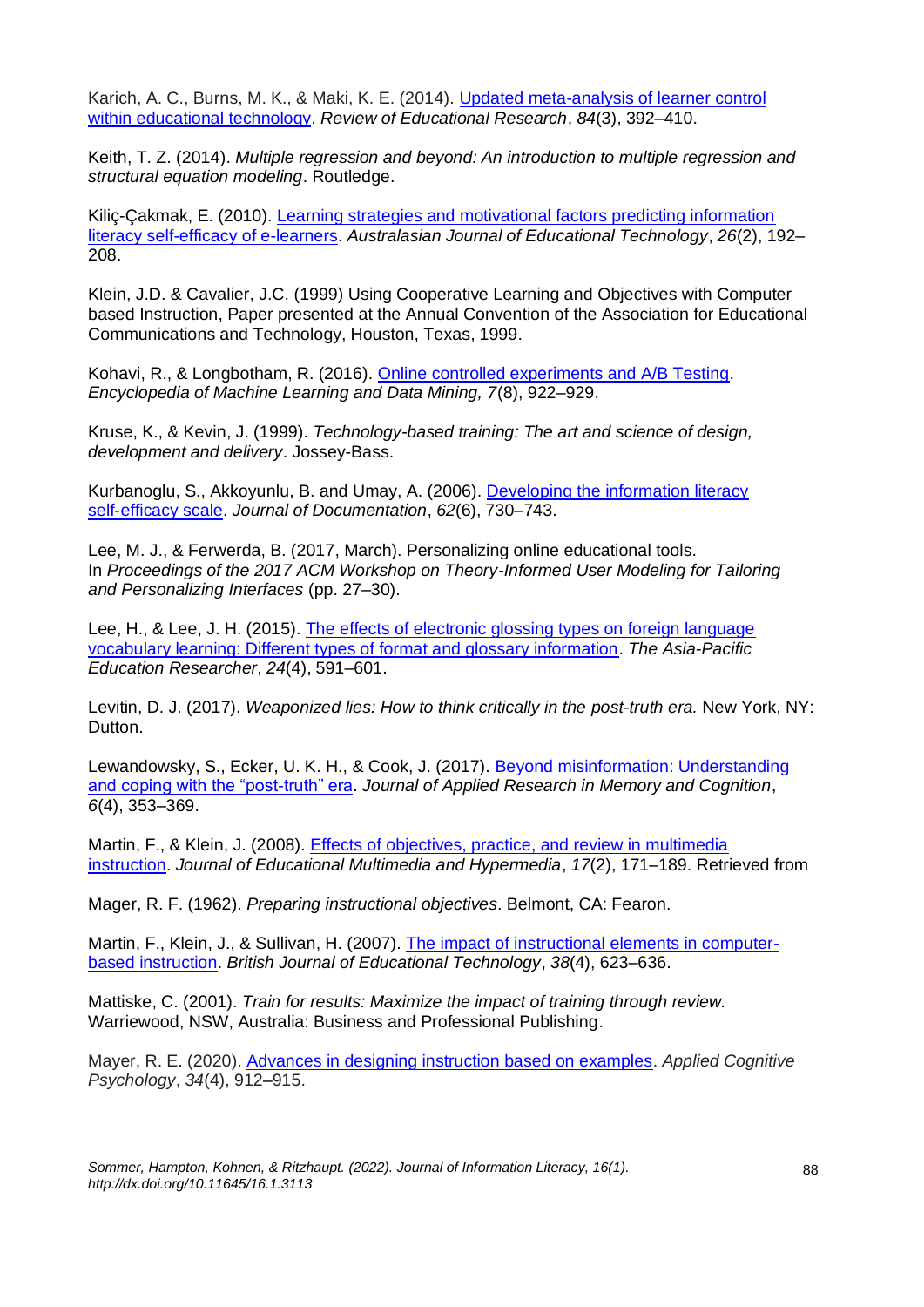Karich, A. C., Burns, M. K., & Maki, K. E. (2014). [Updated meta-analysis of learner control](https://doi.org/10.3102%2F0034654314526064)  [within educational technology.](https://doi.org/10.3102%2F0034654314526064) *Review of Educational Research*, *84*(3), 392–410.

Keith, T. Z. (2014). *Multiple regression and beyond: An introduction to multiple regression and structural equation modeling*. Routledge.

Kiliç-Çakmak, E. (2010). [Learning strategies and motivational factors predicting information](https://doi.org/10.14742/ajet.1090)  [literacy self-efficacy of e-learners.](https://doi.org/10.14742/ajet.1090) *Australasian Journal of Educational Technology*, *26*(2), 192– 208.

Klein, J.D. & Cavalier, J.C. (1999) Using Cooperative Learning and Objectives with Computer based Instruction, Paper presented at the Annual Convention of the Association for Educational Communications and Technology, Houston, Texas, 1999.

Kohavi, R., & Longbotham, R. (2016). [Online controlled experiments and A/B Testing.](http://dx.doi.org/10.1007/978-1-4899-7687-1_891) *Encyclopedia of Machine Learning and Data Mining, 7*(8), 922–929.

Kruse, K., & Kevin, J. (1999). *Technology-based training: The art and science of design, development and delivery*. Jossey-Bass.

Kurbanoglu, S., Akkoyunlu, B. and Umay, A. (2006). [Developing the information literacy](https://doi.org/10.1108/00220410610714949)  self‐[efficacy scale.](https://doi.org/10.1108/00220410610714949) *Journal of Documentation*, *62*(6), 730–743.

Lee, M. J., & Ferwerda, B. (2017, March). Personalizing online educational tools. In *Proceedings of the 2017 ACM Workshop on Theory-Informed User Modeling for Tailoring and Personalizing Interfaces* (pp. 27–30).

Lee, H., & Lee, J. H. (2015). [The effects of electronic glossing types on foreign language](https://doi.org/10.1007/s40299-014-0204-3)  [vocabulary learning: Different types of format and glossary information.](https://doi.org/10.1007/s40299-014-0204-3) *The Asia-Pacific Education Researcher*, *24*(4), 591–601.

Levitin, D. J. (2017). *Weaponized lies: How to think critically in the post-truth era.* New York, NY: Dutton.

Lewandowsky, S., Ecker, U. K. H., & Cook, J. (2017). [Beyond misinformation: Understanding](https://doi.org/10.1016/j.jarmac.2017.07.008)  [and coping with the "post-truth" era.](https://doi.org/10.1016/j.jarmac.2017.07.008) *Journal of Applied Research in Memory and Cognition*, *6*(4), 353–369.

Martin, F., & Klein, J. (2008). [Effects of objectives, practice, and review in multimedia](https://www.learntechlib.org/primary/p/23596/)  [instruction.](https://www.learntechlib.org/primary/p/23596/) *Journal of Educational Multimedia and Hypermedia*, *17*(2), 171–189. Retrieved from

Mager, R. F. (1962). *Preparing instructional objectives*. Belmont, CA: Fearon.

Martin, F., Klein, J., & Sullivan, H. (2007). [The impact of instructional elements in computer](https://doi.org/10.1111/j.1467-8535.2006.00670.x)[based instruction.](https://doi.org/10.1111/j.1467-8535.2006.00670.x) *British Journal of Educational Technology*, *38*(4), 623–636.

Mattiske, C. (2001). *Train for results: Maximize the impact of training through review.* Warriewood, NSW, Australia: Business and Professional Publishing.

Mayer, R. E. (2020). [Advances in designing instruction based on examples.](https://doi.org/10.1002/acp.3701) *Applied Cognitive Psychology*, *34*(4), 912–915.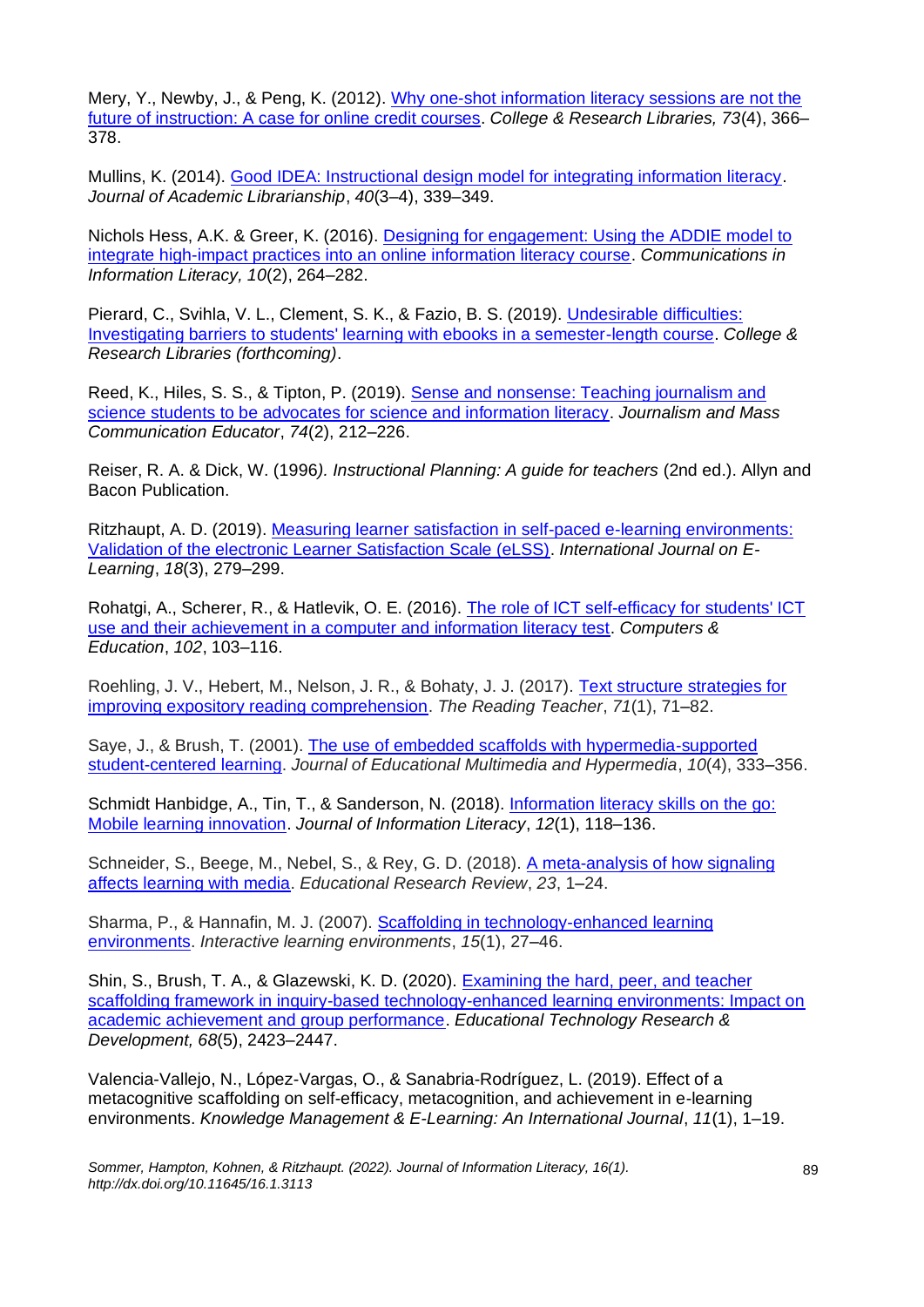Mery, Y., Newby, J., & Peng, K. (2012). [Why one-shot information literacy sessions are not the](https://doi.org/10.5860/crl-271)  [future of instruction: A case for online credit courses.](https://doi.org/10.5860/crl-271) *College & Research Libraries, 73*(4), 366– 378.

Mullins, K. (2014). [Good IDEA: Instructional design model for integrating information literacy.](https://doi.org/10.1016/j.acalib.2014.04.012) *Journal of Academic Librarianship*, *40*(3–4), 339–349.

Nichols Hess, A.K. & Greer, K. (2016). [Designing for engagement: Using the ADDIE model to](https://doi.org/10.15760/comminfolit.2016.10.2.27)  [integrate high-impact practices into an online information literacy course.](https://doi.org/10.15760/comminfolit.2016.10.2.27) *Communications in Information Literacy, 10*(2), 264–282.

Pierard, C., Svihla, V. L., Clement, S. K., & Fazio, B. S. (2019). [Undesirable difficulties:](https://digitalrepository.unm.edu/ulls_fsp/126)  [Investigating barriers to students' learning with ebooks in a semester-length course.](https://digitalrepository.unm.edu/ulls_fsp/126) *College & Research Libraries (forthcoming)*.

Reed, K., Hiles, S. S., & Tipton, P. (2019). [Sense and nonsense: Teaching journalism and](https://doi.org/10.1177/1077695819834415)  [science students to be advocates for science and information literacy.](https://doi.org/10.1177/1077695819834415) *Journalism and Mass Communication Educator*, *74*(2), 212–226.

Reiser, R. A. & Dick, W. (1996*). Instructional Planning: A guide for teachers* (2nd ed.). Allyn and Bacon Publication.

Ritzhaupt, A. D. (2019)[. Measuring learner satisfaction in self-paced e-learning environments:](https://www.learntechlib.org/primary/p/178466/)  [Validation of the electronic Learner Satisfaction Scale \(eLSS\).](https://www.learntechlib.org/primary/p/178466/) *International Journal on E-Learning*, *18*(3), 279–299.

Rohatgi, A., Scherer, R., & Hatlevik, O. E. (2016). [The role of ICT self-efficacy for students' ICT](https://doi.org/10.1016/j.compedu.2016.08.001)  [use and their achievement in a computer and information literacy test.](https://doi.org/10.1016/j.compedu.2016.08.001) *Computers & Education*, *102*, 103–116.

Roehling, J. V., Hebert, M., Nelson, J. R., & Bohaty, J. J. (2017). Text structure strategies for [improving expository reading comprehension.](https://doi.org/10.1002/trtr.1590) *The Reading Teacher*, *71*(1), 71–82.

Saye, J., & Brush, T. (2001). [The use of embedded scaffolds with hypermedia-supported](https://www.learntechlib.org/primary/p/8439/)  [student-centered learning.](https://www.learntechlib.org/primary/p/8439/) *Journal of Educational Multimedia and Hypermedia*, *10*(4), 333–356.

Schmidt Hanbidge, A., Tin, T., & Sanderson, N. (2018). [Information literacy skills on the go:](https://doi.org/10.11645/12.1.2322)  [Mobile learning innovation.](https://doi.org/10.11645/12.1.2322) *Journal of Information Literacy*, *12*(1), 118–136.

Schneider, S., Beege, M., Nebel, S., & Rey, G. D. (2018). [A meta-analysis of how signaling](https://doi.org/10.1016/j.edurev.2017.11.001)  [affects learning with media.](https://doi.org/10.1016/j.edurev.2017.11.001) *Educational Research Review*, *23*, 1–24.

Sharma, P., & Hannafin, M. J. (2007). [Scaffolding in technology-enhanced learning](https://doi.org/10.1080/10494820600996972)  [environments.](https://doi.org/10.1080/10494820600996972) *Interactive learning environments*, *15*(1), 27–46.

Shin, S., Brush, T. A., & Glazewski, K. D. (2020). [Examining the hard, peer, and teacher](https://doi.org/10.1007/s11423-020-09763-8)  [scaffolding framework in inquiry-based technology-enhanced learning environments: Impact on](https://doi.org/10.1007/s11423-020-09763-8)  [academic achievement and group performance.](https://doi.org/10.1007/s11423-020-09763-8) *Educational Technology Research & Development, 68*(5), 2423–2447.

Valencia-Vallejo, N., López-Vargas, O., & Sanabria-Rodríguez, L. (2019). Effect of a metacognitive scaffolding on self-efficacy, metacognition, and achievement in e-learning environments. *Knowledge Management & E-Learning: An International Journal*, *11*(1), 1–19.